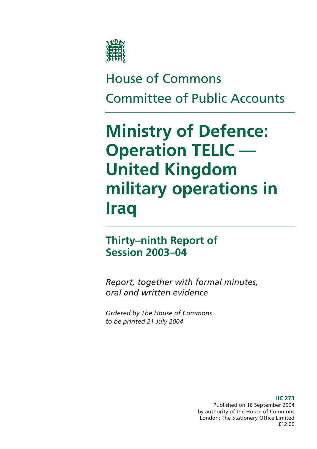

# House of Commons Committee of Public Accounts

# **Ministry of Defence: Operation TELIC — United Kingdom military operations in Iraq**

# **Thirty–ninth Report of Session 2003–04**

*Report, together with formal minutes, oral and written evidence* 

*Ordered by The House of Commons to be printed 21 July 2004* 

> Published on 16 September 2004 by authority of the House of Commons London: The Stationery Office Limited £12.00

# **HC 273**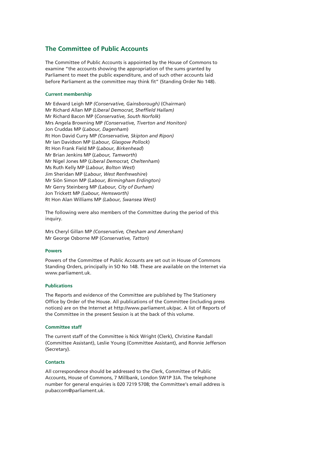# **The Committee of Public Accounts**

The Committee of Public Accounts is appointed by the House of Commons to examine "the accounts showing the appropriation of the sums granted by Parliament to meet the public expenditure, and of such other accounts laid before Parliament as the committee may think fit" (Standing Order No 148).

# **Current membership**

Mr Edward Leigh MP *(Conservative, Gainsborough)* (Chairman) Mr Richard Allan MP *(Liberal Democrat, Sheffield Hallam)* Mr Richard Bacon MP (*Conservative, South Norfolk*) Mrs Angela Browning MP *(Conservative, Tiverton and Honiton)*  Jon Cruddas MP (*Labour, Dagenham*) Rt Hon David Curry MP *(Conservative, Skipton and Ripon)* Mr Ian Davidson MP (*Labour, Glasgow Pollock*) Rt Hon Frank Field MP (*Labour, Birkenhead*) Mr Brian Jenkins MP (*Labour, Tamworth*) Mr Nigel Jones MP (*Liberal Democrat, Cheltenham*) Ms Ruth Kelly MP (*Labour, Bolton West*) Jim Sheridan MP (*Labour, West Renfrewshire*) Mr Siôn Simon MP *(Labour, Birmingham Erdington)* Mr Gerry Steinberg MP *(Labour, City of Durham)*  Jon Trickett MP *(Labour, Hemsworth)* Rt Hon Alan Williams MP *(Labour, Swansea West)* 

The following were also members of the Committee during the period of this inquiry.

Mrs Cheryl Gillan MP *(Conservative, Chesham and Amersham)*  Mr George Osborne MP (*Conservative, Tatton*)

# **Powers**

Powers of the Committee of Public Accounts are set out in House of Commons Standing Orders, principally in SO No 148. These are available on the Internet via www.parliament.uk.

# **Publications**

The Reports and evidence of the Committee are published by The Stationery Office by Order of the House. All publications of the Committee (including press notices) are on the Internet at http://www.parliament.uk/pac. A list of Reports of the Committee in the present Session is at the back of this volume.

# **Committee staff**

The current staff of the Committee is Nick Wright (Clerk), Christine Randall (Committee Assistant), Leslie Young (Committee Assistant), and Ronnie Jefferson (Secretary).

# **Contacts**

All correspondence should be addressed to the Clerk, Committee of Public Accounts, House of Commons, 7 Millbank, London SW1P 3JA. The telephone number for general enquiries is 020 7219 5708; the Committee's email address is pubaccom@parliament.uk.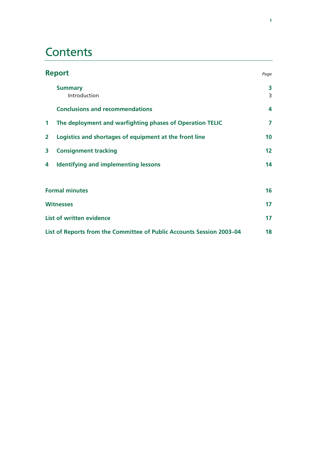# **Contents**

|                         | <b>Report</b>                                                         | Page   |
|-------------------------|-----------------------------------------------------------------------|--------|
|                         | <b>Summary</b><br>Introduction                                        | 3<br>3 |
|                         | <b>Conclusions and recommendations</b>                                | 4      |
| $\mathbf 1$             | The deployment and warfighting phases of Operation TELIC              | 7      |
| $\overline{\mathbf{2}}$ | Logistics and shortages of equipment at the front line                | 10     |
| 3                       | <b>Consignment tracking</b>                                           | 12     |
| 4                       | <b>Identifying and implementing lessons</b>                           | 14     |
|                         | <b>Formal minutes</b>                                                 | 16     |
|                         | <b>Witnesses</b>                                                      | 17     |
|                         | <b>List of written evidence</b>                                       | 17     |
|                         | List of Reports from the Committee of Public Accounts Session 2003-04 | 18     |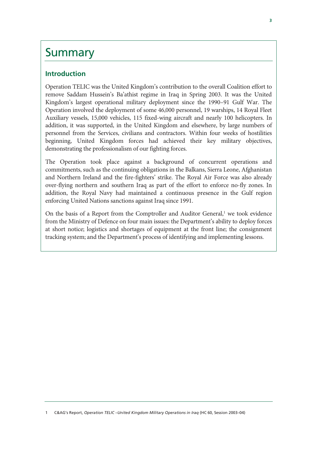# Summary

# **Introduction**

Operation TELIC was the United Kingdom's contribution to the overall Coalition effort to remove Saddam Hussein's Ba'athist regime in Iraq in Spring 2003. It was the United Kingdom's largest operational military deployment since the 1990–91 Gulf War. The Operation involved the deployment of some 46,000 personnel, 19 warships, 14 Royal Fleet Auxiliary vessels, 15,000 vehicles, 115 fixed-wing aircraft and nearly 100 helicopters. In addition, it was supported, in the United Kingdom and elsewhere, by large numbers of personnel from the Services, civilians and contractors. Within four weeks of hostilities beginning, United Kingdom forces had achieved their key military objectives, demonstrating the professionalism of our fighting forces.

The Operation took place against a background of concurrent operations and commitments, such as the continuing obligations in the Balkans, Sierra Leone, Afghanistan and Northern Ireland and the fire-fighters' strike. The Royal Air Force was also already over-flying northern and southern Iraq as part of the effort to enforce no-fly zones. In addition, the Royal Navy had maintained a continuous presence in the Gulf region enforcing United Nations sanctions against Iraq since 1991.

On the basis of a Report from the Comptroller and Auditor General, $<sup>1</sup>$  we took evidence</sup> from the Ministry of Defence on four main issues: the Department's ability to deploy forces at short notice; logistics and shortages of equipment at the front line; the consignment tracking system; and the Department's process of identifying and implementing lessons.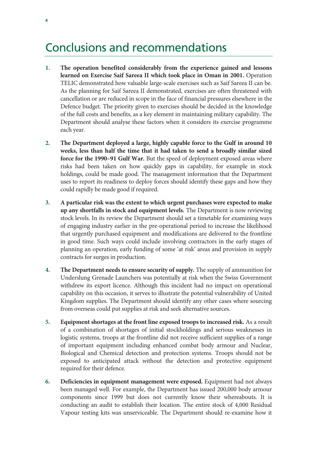# Conclusions and recommendations

- **1. The operation benefited considerably from the experience gained and lessons learned on Exercise Saif Sareea II which took place in Oman in 2001.** Operation TELIC demonstrated how valuable large-scale exercises such as Saif Sareea II can be. As the planning for Saif Sareea II demonstrated, exercises are often threatened with cancellation or are reduced in scope in the face of financial pressures elsewhere in the Defence budget. The priority given to exercises should be decided in the knowledge of the full costs and benefits, as a key element in maintaining military capability. The Department should analyse these factors when it considers its exercise programme each year.
- **2. The Department deployed a large, highly capable force to the Gulf in around 10 weeks, less than half the time that it had taken to send a broadly similar sized force for the 1990–91 Gulf War.** But the speed of deployment exposed areas where risks had been taken on how quickly gaps in capability, for example in stock holdings, could be made good. The management information that the Department uses to report its readiness to deploy forces should identify these gaps and how they could rapidly be made good if required.
- **3. A particular risk was the extent to which urgent purchases were expected to make up any shortfalls in stock and equipment levels.** The Department is now reviewing stock levels. In its review the Department should set a timetable for examining ways of engaging industry earlier in the pre-operational period to increase the likelihood that urgently purchased equipment and modifications are delivered to the frontline in good time. Such ways could include involving contractors in the early stages of planning an operation, early funding of some 'at risk' areas and provision in supply contracts for surges in production.
- **4. The Department needs to ensure security of supply.** The supply of ammunition for Underslung Grenade Launchers was potentially at risk when the Swiss Government withdrew its export licence. Although this incident had no impact on operational capability on this occasion, it serves to illustrate the potential vulnerability of United Kingdom supplies. The Department should identify any other cases where sourcing from overseas could put supplies at risk and seek alternative sources.
- **5. Equipment shortages at the front line exposed troops to increased risk.** As a result of a combination of shortages of initial stockholdings and serious weaknesses in logistic systems, troops at the frontline did not receive sufficient supplies of a range of important equipment including enhanced combat body armour and Nuclear, Biological and Chemical detection and protection systems. Troops should not be exposed to anticipated attack without the detection and protective equipment required for their defence.
- **6. Deficiencies in equipment management were exposed.** Equipment had not always been managed well. For example, the Department has issued 200,000 body armour components since 1999 but does not currently know their whereabouts. It is conducting an audit to establish their location. The entire stock of 4,000 Residual Vapour testing kits was unserviceable. The Department should re-examine how it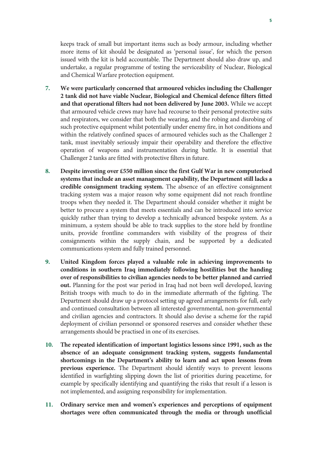keeps track of small but important items such as body armour, including whether more items of kit should be designated as 'personal issue', for which the person issued with the kit is held accountable. The Department should also draw up, and undertake, a regular programme of testing the serviceability of Nuclear, Biological and Chemical Warfare protection equipment.

- **7. We were particularly concerned that armoured vehicles including the Challenger 2 tank did not have viable Nuclear, Biological and Chemical defence filters fitted and that operational filters had not been delivered by June 2003.** While we accept that armoured vehicle crews may have had recourse to their personal protective suits and respirators, we consider that both the wearing, and the robing and disrobing of such protective equipment whilst potentially under enemy fire, in hot conditions and within the relatively confined spaces of armoured vehicles such as the Challenger 2 tank, must inevitably seriously impair their operability and therefore the effective operation of weapons and instrumentation during battle. It is essential that Challenger 2 tanks are fitted with protective filters in future.
- **8. Despite investing over £550 million since the first Gulf War in new computerised systems that include an asset management capability, the Department still lacks a credible consignment tracking system.** The absence of an effective consignment tracking system was a major reason why some equipment did not reach frontline troops when they needed it. The Department should consider whether it might be better to procure a system that meets essentials and can be introduced into service quickly rather than trying to develop a technically advanced bespoke system. As a minimum, a system should be able to track supplies to the store held by frontline units, provide frontline commanders with visibility of the progress of their consignments within the supply chain, and be supported by a dedicated communications system and fully trained personnel.
- **9. United Kingdom forces played a valuable role in achieving improvements to conditions in southern Iraq immediately following hostilities but the handing over of responsibilities to civilian agencies needs to be better planned and carried out.** Planning for the post war period in Iraq had not been well developed, leaving British troops with much to do in the immediate aftermath of the fighting. The Department should draw up a protocol setting up agreed arrangements for full, early and continued consultation between all interested governmental, non-governmental and civilian agencies and contractors. It should also devise a scheme for the rapid deployment of civilian personnel or sponsored reserves and consider whether these arrangements should be practised in one of its exercises.
- **10. The repeated identification of important logistics lessons since 1991, such as the absence of an adequate consignment tracking system, suggests fundamental shortcomings in the Department's ability to learn and act upon lessons from previous experience.** The Department should identify ways to prevent lessons identified in warfighting slipping down the list of priorities during peacetime, for example by specifically identifying and quantifying the risks that result if a lesson is not implemented, and assigning responsibility for implementation.
- **11. Ordinary service men and women's experiences and perceptions of equipment shortages were often communicated through the media or through unofficial**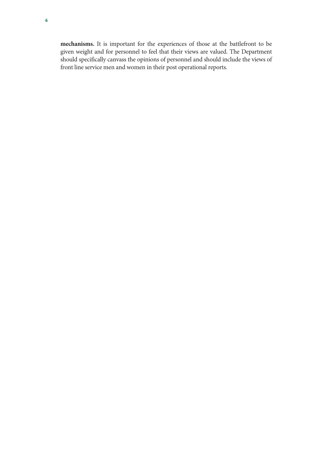**mechanisms.** It is important for the experiences of those at the battlefront to be given weight and for personnel to feel that their views are valued. The Department should specifically canvass the opinions of personnel and should include the views of front line service men and women in their post operational reports.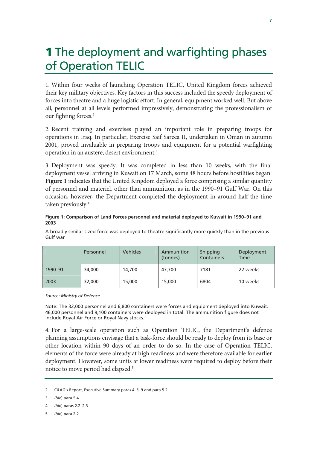# **1** The deployment and warfighting phases of Operation TELIC

1. Within four weeks of launching Operation TELIC, United Kingdom forces achieved their key military objectives. Key factors in this success included the speedy deployment of forces into theatre and a huge logistic effort. In general, equipment worked well. But above all, personnel at all levels performed impressively, demonstrating the professionalism of our fighting forces.<sup>2</sup>

2. Recent training and exercises played an important role in preparing troops for operations in Iraq. In particular, Exercise Saif Sareea II, undertaken in Oman in autumn 2001, proved invaluable in preparing troops and equipment for a potential warfighting operation in an austere, desert environment.<sup>3</sup>

3. Deployment was speedy. It was completed in less than 10 weeks, with the final deployment vessel arriving in Kuwait on 17 March, some 48 hours before hostilities began. **Figure 1** indicates that the United Kingdom deployed a force comprising a similar quantity of personnel and materiel, other than ammunition, as in the 1990–91 Gulf War. On this occasion, however, the Department completed the deployment in around half the time taken previously.<sup>4</sup>

# **Figure 1: Comparison of Land Forces personnel and material deployed to Kuwait in 1990–91 and 2003**

A broadly similar sized force was deployed to theatre significantly more quickly than in the previous Gulf war

|         | Personnel | <b>Vehicles</b> | Ammunition<br>(tonnes) | Shipping<br>Containers | Deployment<br><b>Time</b> |
|---------|-----------|-----------------|------------------------|------------------------|---------------------------|
| 1990-91 | 34,000    | 14,700          | 47,700                 | 7181                   | 22 weeks                  |
| 2003    | 32,000    | 15,000          | 15,000                 | 6804                   | 10 weeks                  |

# *Source: Ministry of Defence*

Note: The 32,000 personnel and 6,800 containers were forces and equipment deployed into Kuwait. 46,000 personnel and 9,100 containers were deployed in total. The ammunition figure does not include Royal Air Force or Royal Navy stocks.

4. For a large-scale operation such as Operation TELIC, the Department's defence planning assumptions envisage that a task-force should be ready to deploy from its base or other location within 90 days of an order to do so. In the case of Operation TELIC, elements of the force were already at high readiness and were therefore available for earlier deployment. However, some units at lower readiness were required to deploy before their notice to move period had elapsed.5

<sup>2</sup> C&AG's Report, Executive Summary paras 4–5, 9 and para 5.2

<sup>3</sup> *ibid*, para 5.4

<sup>4</sup> *ibid*, paras 2.2–2.3

<sup>5</sup> *ibid*, para 2.2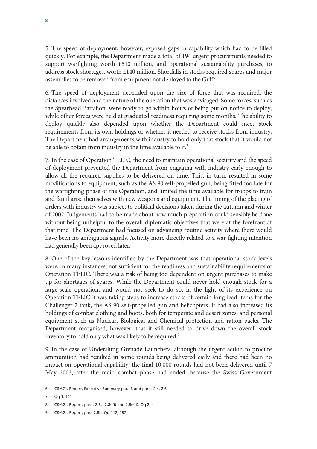5. The speed of deployment, however, exposed gaps in capability which had to be filled quickly. For example, the Department made a total of 194 urgent procurements needed to support warfighting worth £510 million, and operational sustainability purchases, to address stock shortages, worth £140 million. Shortfalls in stocks required spares and major assemblies to be removed from equipment not deployed to the Gulf.<sup>6</sup>

6. The speed of deployment depended upon the size of force that was required, the distances involved and the nature of the operation that was envisaged. Some forces, such as the Spearhead Battalion, were ready to go within hours of being put on notice to deploy, while other forces were held at graduated readiness requiring some months. The ability to deploy quickly also depended upon whether the Department could meet stock requirements from its own holdings or whether it needed to receive stocks from industry. The Department had arrangements with industry to hold only that stock that it would not be able to obtain from industry in the time available to it.<sup>7</sup>

7. In the case of Operation TELIC, the need to maintain operational security and the speed of deployment prevented the Department from engaging with industry early enough to allow all the required supplies to be delivered on time. This, in turn, resulted in some modifications to equipment, such as the AS 90 self-propelled gun, being fitted too late for the warfighting phase of the Operation, and limited the time available for troops to train and familiarise themselves with new weapons and equipment. The timing of the placing of orders with industry was subject to political decisions taken during the autumn and winter of 2002. Judgements had to be made about how much preparation could sensibly be done without being unhelpful to the overall diplomatic objectives that were at the forefront at that time. The Department had focused on advancing routine activity where there would have been no ambiguous signals. Activity more directly related to a war fighting intention had generally been approved later.<sup>8</sup>

8. One of the key lessons identified by the Department was that operational stock levels were, in many instances, not sufficient for the readiness and sustainability requirements of Operation TELIC. There was a risk of being too dependent on urgent purchases to make up for shortages of spares. While the Department could never hold enough stock for a large-scale operation, and would not seek to do so, in the light of its experience on Operation TELIC it was taking steps to increase stocks of certain long-lead items for the Challenger 2 tank, the AS 90 self-propelled gun and helicopters. It had also increased its holdings of combat clothing and boots, both for temperate and desert zones, and personal equipment such as Nuclear, Biological and Chemical protection and ration packs. The Department recognised, however, that it still needed to drive down the overall stock inventory to hold only what was likely to be required.<sup>9</sup>

9. In the case of Underslung Grenade Launchers, although the urgent action to procure ammunition had resulted in some rounds being delivered early and there had been no impact on operational capability, the final 10,000 rounds had not been delivered until 7 May 2003, after the main combat phase had ended, because the Swiss Government

<sup>6</sup> C&AG's Report, Executive Summary para 6 and paras 2.4, 2.6

<sup>7</sup> Qq 1, 111

<sup>8</sup> C&AG's Report, paras 2.8c, 2.8e(i) and 2.8e(ii); Qq 2, 4

<sup>9</sup> C&AG's Report, para 2.8b; Qq 112, 187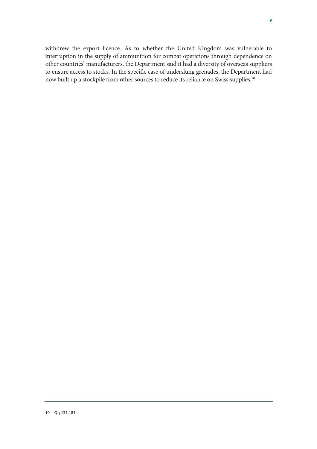withdrew the export licence. As to whether the United Kingdom was vulnerable to interruption in the supply of ammunition for combat operations through dependence on other countries' manufacturers, the Department said it had a diversity of overseas suppliers to ensure access to stocks. In the specific case of underslung grenades, the Department had now built up a stockpile from other sources to reduce its reliance on Swiss supplies.10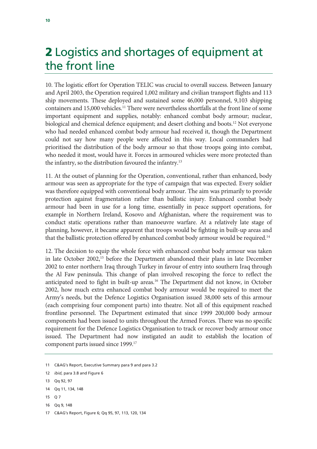# **2** Logistics and shortages of equipment at the front line

10. The logistic effort for Operation TELIC was crucial to overall success. Between January and April 2003, the Operation required 1,002 military and civilian transport flights and 113 ship movements. These deployed and sustained some 46,000 personnel, 9,103 shipping containers and 15,000 vehicles.<sup>11</sup> There were nevertheless shortfalls at the front line of some important equipment and supplies, notably: enhanced combat body armour; nuclear, biological and chemical defence equipment; and desert clothing and boots.<sup>12</sup> Not everyone who had needed enhanced combat body armour had received it, though the Department could not say how many people were affected in this way. Local commanders had prioritised the distribution of the body armour so that those troops going into combat, who needed it most, would have it. Forces in armoured vehicles were more protected than the infantry, so the distribution favoured the infantry.<sup>13</sup>

11. At the outset of planning for the Operation, conventional, rather than enhanced, body armour was seen as appropriate for the type of campaign that was expected. Every soldier was therefore equipped with conventional body armour. The aim was primarily to provide protection against fragmentation rather than ballistic injury. Enhanced combat body armour had been in use for a long time, essentially in peace support operations, for example in Northern Ireland, Kosovo and Afghanistan, where the requirement was to conduct static operations rather than manoeuvre warfare. At a relatively late stage of planning, however, it became apparent that troops would be fighting in built-up areas and that the ballistic protection offered by enhanced combat body armour would be required.<sup>14</sup>

12. The decision to equip the whole force with enhanced combat body armour was taken in late October 2002,15 before the Department abandoned their plans in late December 2002 to enter northern Iraq through Turkey in favour of entry into southern Iraq through the Al Faw peninsula. This change of plan involved rescoping the force to reflect the anticipated need to fight in built-up areas.<sup>16</sup> The Department did not know, in October 2002, how much extra enhanced combat body armour would be required to meet the Army's needs, but the Defence Logistics Organisation issued 38,000 sets of this armour (each comprising four component parts) into theatre. Not all of this equipment reached frontline personnel. The Department estimated that since 1999 200,000 body armour components had been issued to units throughout the Armed Forces. There was no specific requirement for the Defence Logistics Organisation to track or recover body armour once issued. The Department had now instigated an audit to establish the location of component parts issued since 1999.17

- 15 Q 7
- 16 Qq 9, 148

<sup>11</sup> C&AG's Report, Executive Summary para 9 and para 3.2

<sup>12</sup> *ibid*, para 3.8 and Figure 6

<sup>13</sup> Qq 92, 97

<sup>14</sup> Qq 11, 134, 148

<sup>17</sup> C&AG's Report, Figure 6; Qq 95, 97, 113, 120, 134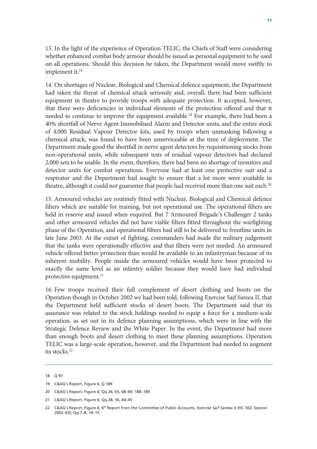13. In the light of the experience of Operation TELIC, the Chiefs of Staff were considering whether enhanced combat body armour should be issued as personal equipment to be used on all operations. Should this decision be taken, the Department would move swiftly to implement it.18

14. On shortages of Nuclear, Biological and Chemical defence equipment, the Department had taken the threat of chemical attack seriously and, overall, there had been sufficient equipment in theatre to provide troops with adequate protection. It accepted, however, that there were deficiencies in individual elements of the protection offered and that it needed to continue to improve the equipment available.<sup>19</sup> For example, there had been a 40% shortfall of Nerve Agent Immobilised Alarm and Detector units, and the entire stock of 4,000 Residual Vapour Detector kits, used by troops when unmasking following a chemical attack, was found to have been unserviceable at the time of deployment. The Department made good the shortfall in nerve agent detectors by requisitioning stocks from non-operational units, while subsequent tests of residual vapour detectors had declared 2,000 sets to be usable. In the event, therefore, there had been no shortage of monitors and detector units for combat operations. Everyone had at least one protective suit and a respirator and the Department had sought to ensure that a lot more were available in theatre, although it could not guarantee that people had received more than one suit each.<sup>20</sup>

15. Armoured vehicles are routinely fitted with Nuclear, Biological and Chemical defence filters which are suitable for training, but not operational use. The operational filters are held in reserve and issued when required. But 7 Armoured Brigade's Challenger 2 tanks and other armoured vehicles did not have viable filters fitted throughout the warfighting phase of the Operation, and operational filters had still to be delivered to frontline units in late June 2003. At the outset of fighting, commanders had made the military judgement that the tanks were operationally effective and that filters were not needed. An armoured vehicle offered better protection than would be available to an infantryman because of its inherent mobility. People inside the armoured vehicles would have been protected to exactly the same level as an infantry soldier because they would have had individual protective equipment.<sup>21</sup>

16. Few troops received their full complement of desert clothing and boots on the Operation though in October 2002 we had been told, following Exercise Saif Sareea II, that the Department held sufficient stocks of desert boots. The Department said that its assurance was related to the stock holdings needed to equip a force for a medium-scale operation, as set out in its defence planning assumptions, which were in line with the Strategic Defence Review and the White Paper. In the event, the Department had more than enough boots and desert clothing to meet these planning assumptions. Operation TELIC was a large-scale operation, however, and the Department had needed to augment its stocks.<sup>22</sup>

<sup>18</sup> Q 97

<sup>19</sup> C&AG's Report, Figure 6; Q 189

<sup>20</sup> C&AG's Report, Figure 6; Qq 26, 65, 68–69, 188–189

<sup>21</sup> C&AG's Report, Figure 6; Qq 28, 36, 44–45

<sup>22</sup> C&AG's Report, Figure 6; 6th Report from the Committee of Public Accounts, *Exercise Saif Sareea II* (HC 502, Session 2002–03); Qq 7–8, 14–15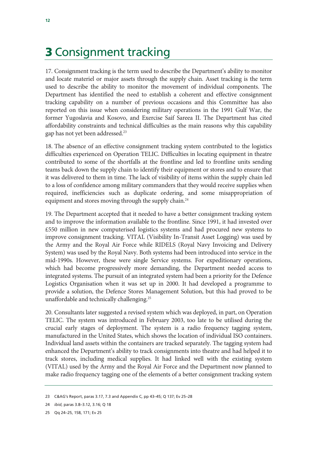# **3** Consignment tracking

17. Consignment tracking is the term used to describe the Department's ability to monitor and locate materiel or major assets through the supply chain. Asset tracking is the term used to describe the ability to monitor the movement of individual components. The Department has identified the need to establish a coherent and effective consignment tracking capability on a number of previous occasions and this Committee has also reported on this issue when considering military operations in the 1991 Gulf War, the former Yugoslavia and Kosovo, and Exercise Saif Sareea II. The Department has cited affordability constraints and technical difficulties as the main reasons why this capability gap has not yet been addressed.23

18. The absence of an effective consignment tracking system contributed to the logistics difficulties experienced on Operation TELIC. Difficulties in locating equipment in theatre contributed to some of the shortfalls at the frontline and led to frontline units sending teams back down the supply chain to identify their equipment or stores and to ensure that it was delivered to them in time. The lack of visibility of items within the supply chain led to a loss of confidence among military commanders that they would receive supplies when required, inefficiencies such as duplicate ordering, and some misappropriation of equipment and stores moving through the supply chain.<sup>24</sup>

19. The Department accepted that it needed to have a better consignment tracking system and to improve the information available to the frontline. Since 1991, it had invested over £550 million in new computerised logistics systems and had procured new systems to improve consignment tracking. VITAL (Visibility In-Transit Asset Logging) was used by the Army and the Royal Air Force while RIDELS (Royal Navy Invoicing and Delivery System) was used by the Royal Navy. Both systems had been introduced into service in the mid-1990s. However, these were single Service systems. For expeditionary operations, which had become progressively more demanding, the Department needed access to integrated systems. The pursuit of an integrated system had been a priority for the Defence Logistics Organisation when it was set up in 2000. It had developed a programme to provide a solution, the Defence Stores Management Solution, but this had proved to be unaffordable and technically challenging.25

20. Consultants later suggested a revised system which was deployed, in part, on Operation TELIC. The system was introduced in February 2003, too late to be utilised during the crucial early stages of deployment. The system is a radio frequency tagging system, manufactured in the United States, which shows the location of individual ISO containers. Individual land assets within the containers are tracked separately. The tagging system had enhanced the Department's ability to track consignments into theatre and had helped it to track stores, including medical supplies. It had linked well with the existing system (VITAL) used by the Army and the Royal Air Force and the Department now planned to make radio frequency tagging one of the elements of a better consignment tracking system

<sup>23</sup> C&AG's Report, paras 3.17, 7.3 and Appendix C, pp 43–45; Q 137; Ev 25–28

<sup>24</sup> *ibid*, paras 3.8–3.12, 3.16; Q 18

<sup>25</sup> Qq 24–25, 158, 171; Ev 25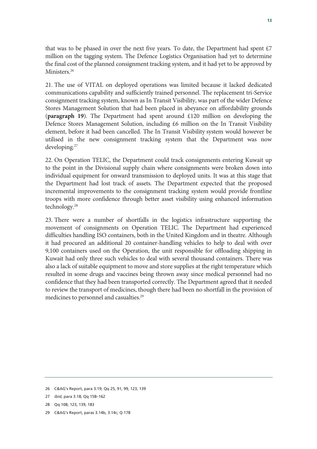that was to be phased in over the next five years. To date, the Department had spent £7 million on the tagging system. The Defence Logistics Organisation had yet to determine the final cost of the planned consignment tracking system, and it had yet to be approved by Ministers.<sup>26</sup>

21. The use of VITAL on deployed operations was limited because it lacked dedicated communications capability and sufficiently trained personnel. The replacement tri-Service consignment tracking system, known as In Transit Visibility, was part of the wider Defence Stores Management Solution that had been placed in abeyance on affordability grounds (**paragraph 19**). The Department had spent around £120 million on developing the Defence Stores Management Solution, including £6 million on the In Transit Visibility element, before it had been cancelled. The In Transit Visibility system would however be utilised in the new consignment tracking system that the Department was now developing.27

22. On Operation TELIC, the Department could track consignments entering Kuwait up to the point in the Divisional supply chain where consignments were broken down into individual equipment for onward transmission to deployed units. It was at this stage that the Department had lost track of assets. The Department expected that the proposed incremental improvements to the consignment tracking system would provide frontline troops with more confidence through better asset visibility using enhanced information technology.28

23. There were a number of shortfalls in the logistics infrastructure supporting the movement of consignments on Operation TELIC. The Department had experienced difficulties handling ISO containers, both in the United Kingdom and in theatre. Although it had procured an additional 20 container-handling vehicles to help to deal with over 9,100 containers used on the Operation, the unit responsible for offloading shipping in Kuwait had only three such vehicles to deal with several thousand containers. There was also a lack of suitable equipment to move and store supplies at the right temperature which resulted in some drugs and vaccines being thrown away since medical personnel had no confidence that they had been transported correctly. The Department agreed that it needed to review the transport of medicines, though there had been no shortfall in the provision of medicines to personnel and casualties.<sup>29</sup>

- 28 Qq 108, 123, 139, 183
- 29 C&AG's Report, paras 3.14b, 3.14c; Q 178

<sup>26</sup> C&AG's Report, para 3.19; Qq 25, 91, 99, 123, 139

<sup>27</sup> *ibid*, para 3.18; Qq 158–162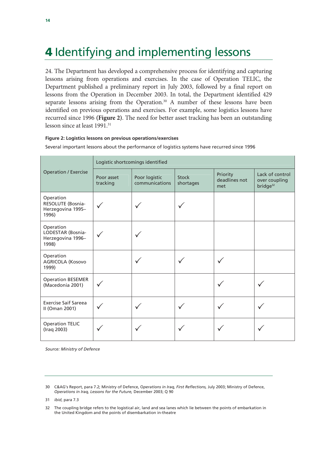# **4** Identifying and implementing lessons

24. The Department has developed a comprehensive process for identifying and capturing lessons arising from operations and exercises. In the case of Operation TELIC, the Department published a preliminary report in July 2003, followed by a final report on lessons from the Operation in December 2003. In total, the Department identified 429 separate lessons arising from the Operation.<sup>30</sup> A number of these lessons have been identified on previous operations and exercises. For example, some logistics lessons have recurred since 1996 **(Figure 2)**. The need for better asset tracking has been an outstanding lesson since at least 1991.<sup>31</sup>

# **Figure 2: Logistics lessons on previous operations/exercises**

Logistic shortcomings identified Operation / Exercise Poor asset tracking Poor logistic communications Stock shortages Priority deadlines not met Lack of control over coupling bridge<sup>32</sup> Operation RESOLUTE (Bosnia-Herzegovina 1995– 1996)  $\checkmark$   $\checkmark$   $\checkmark$  3 3  $\checkmark$ Operation LODESTAR (Bosnia-Herzegovina 1996– 1998)  $\checkmark$  3  $\checkmark$  3  $\checkmark$ Operation AGRICOLA (Kosovo 1999)  $\checkmark$   $\checkmark$   $\checkmark$ Operation BESEMER<br>(Macedonia 2001) (Macedonia 2001)  $\bigvee$ Exercise Saif Sareea<br>II (Oman 2001) Li (Oman 2001)  $\bigvee$   $\bigvee$   $\bigvee$   $\bigvee$   $\bigvee$   $\bigvee$   $\bigvee$   $\bigvee$   $\bigvee$   $\bigvee$   $\bigvee$   $\bigvee$   $\bigvee$   $\bigvee$   $\bigvee$   $\bigvee$   $\bigvee$   $\bigvee$   $\bigvee$   $\bigvee$   $\bigvee$   $\bigvee$   $\bigvee$   $\bigvee$   $\bigvee$   $\bigvee$   $\bigvee$   $\bigvee$   $\bigvee$   $\big$ Operation TELIC<br>(Iraq 2003) (Iraq 2003)  $\sqrt{ }$   $\sqrt{ }$   $\sqrt{ }$   $\sqrt{ }$   $\sqrt{ }$   $\sqrt{ }$   $\sqrt{ }$ 

Several important lessons about the performance of logistics systems have recurred since 1996

*Source: Ministry of Defence* 

<sup>30</sup> C&AG's Report, para 7.2; Ministry of Defence, O*perations in Iraq, First Reflections,* July 2003; Ministry of Defence, *Operations in Iraq, Lessons for the Future,* December 2003; Q 90

<sup>31</sup> *ibid*, para 7.3

<sup>32</sup> The coupling bridge refers to the logistical air, land and sea lanes which lie between the points of embarkation in the United Kingdom and the points of disembarkation in-theatre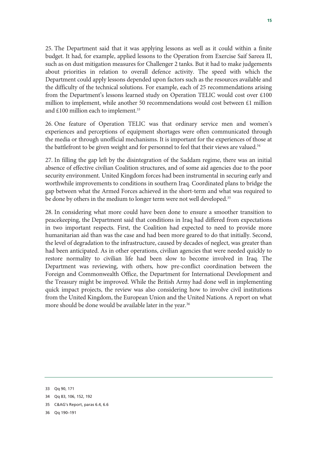25. The Department said that it was applying lessons as well as it could within a finite budget. It had, for example, applied lessons to the Operation from Exercise Saif Sareea II, such as on dust mitigation measures for Challenger 2 tanks. But it had to make judgements about priorities in relation to overall defence activity. The speed with which the Department could apply lessons depended upon factors such as the resources available and the difficulty of the technical solutions. For example, each of 25 recommendations arising from the Department's lessons learned study on Operation TELIC would cost over £100 million to implement, while another 50 recommendations would cost between £1 million and  $£100$  million each to implement.<sup>33</sup>

26. One feature of Operation TELIC was that ordinary service men and women's experiences and perceptions of equipment shortages were often communicated through the media or through unofficial mechanisms. It is important for the experiences of those at the battlefront to be given weight and for personnel to feel that their views are valued.<sup>34</sup>

27. In filling the gap left by the disintegration of the Saddam regime, there was an initial absence of effective civilian Coalition structures, and of some aid agencies due to the poor security environment. United Kingdom forces had been instrumental in securing early and worthwhile improvements to conditions in southern Iraq. Coordinated plans to bridge the gap between what the Armed Forces achieved in the short-term and what was required to be done by others in the medium to longer term were not well developed.<sup>35</sup>

28. In considering what more could have been done to ensure a smoother transition to peacekeeping, the Department said that conditions in Iraq had differed from expectations in two important respects. First, the Coalition had expected to need to provide more humanitarian aid than was the case and had been more geared to do that initially. Second, the level of degradation to the infrastructure, caused by decades of neglect, was greater than had been anticipated. As in other operations, civilian agencies that were needed quickly to restore normality to civilian life had been slow to become involved in Iraq. The Department was reviewing, with others, how pre-conflict coordination between the Foreign and Commonwealth Office, the Department for International Development and the Treasury might be improved. While the British Army had done well in implementing quick impact projects, the review was also considering how to involve civil institutions from the United Kingdom, the European Union and the United Nations. A report on what more should be done would be available later in the year.<sup>36</sup>

- 35 C&AG's Report, paras 6.4, 6.6
- 36 Qq 190–191

<sup>33</sup> Qq 90, 171

<sup>34</sup> Qq 83, 106, 152, 192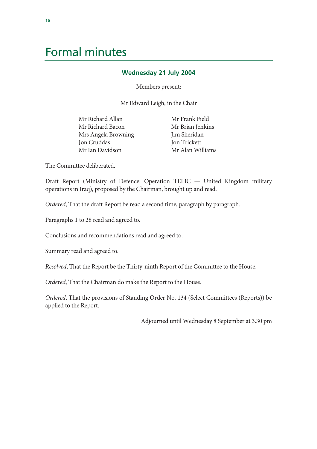# Formal minutes

# **Wednesday 21 July 2004**

Members present:

Mr Edward Leigh, in the Chair

Mr Richard Allan Mr Richard Bacon Mrs Angela Browning Jon Cruddas Mr Ian Davidson

 Mr Frank Field Mr Brian Jenkins Jim Sheridan Jon Trickett Mr Alan Williams

The Committee deliberated.

Draft Report (Ministry of Defence: Operation TELIC — United Kingdom military operations in Iraq), proposed by the Chairman, brought up and read.

*Ordered*, That the draft Report be read a second time, paragraph by paragraph.

Paragraphs 1 to 28 read and agreed to.

Conclusions and recommendations read and agreed to.

Summary read and agreed to.

*Resolved*, That the Report be the Thirty-ninth Report of the Committee to the House.

*Ordered*, That the Chairman do make the Report to the House.

*Ordered*, That the provisions of Standing Order No. 134 (Select Committees (Reports)) be applied to the Report.

Adjourned until Wednesday 8 September at 3.30 pm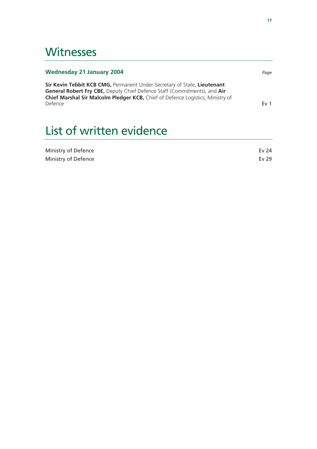# **Witnesses**

# **Wednesday 21 January 2004** *Page*

**Sir Kevin Tebbit KCB CMG,** Permanent Under-Secretary of State, **Lieutenant General Robert Fry CBE,** Deputy Chief Defence Staff (Commitments), and **Air Chief Marshal Sir Malcolm Pledger KCB,** Chief of Defence Logistics, Ministry of Defence **Ev 1** 

# List of written evidence

| Ministry of Defence | Ev $24$ |
|---------------------|---------|
| Ministry of Defence | Ev 29   |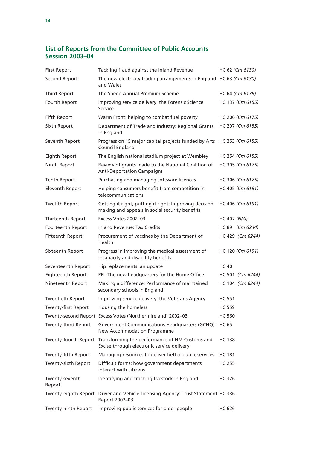# **List of Reports from the Committee of Public Accounts Session 2003–04**

| <b>First Report</b>        | Tackling fraud against the Inland Revenue                                                                 | HC 62 (Cm 6130)     |
|----------------------------|-----------------------------------------------------------------------------------------------------------|---------------------|
| Second Report              | The new electricity trading arrangements in England HC 63 (Cm 6130)<br>and Wales                          |                     |
| <b>Third Report</b>        | The Sheep Annual Premium Scheme                                                                           | HC 64 (Cm 6136)     |
| Fourth Report              | Improving service delivery: the Forensic Science<br>Service                                               | HC 137 (Cm 6155)    |
| Fifth Report               | Warm Front: helping to combat fuel poverty                                                                | HC 206 (Cm 6175)    |
| Sixth Report               | Department of Trade and Industry: Regional Grants<br>in England                                           | HC 207 (Cm 6155)    |
| Seventh Report             | Progress on 15 major capital projects funded by Arts<br>Council England                                   | HC 253 (Cm 6155)    |
| Eighth Report              | The English national stadium project at Wembley                                                           | HC 254 (Cm 6155)    |
| Ninth Report               | Review of grants made to the National Coalition of<br><b>Anti-Deportation Campaigns</b>                   | HC 305 (Cm 6175)    |
| <b>Tenth Report</b>        | Purchasing and managing software licences                                                                 | HC 306 (Cm 6175)    |
| <b>Eleventh Report</b>     | Helping consumers benefit from competition in<br>telecommunications                                       | HC 405 (Cm 6191)    |
| <b>Twelfth Report</b>      | Getting it right, putting it right: Improving decision-<br>making and appeals in social security benefits | HC 406 (Cm 6191)    |
| Thirteenth Report          | Excess Votes 2002-03                                                                                      | <b>HC 407 (N/A)</b> |
| Fourteenth Report          | <b>Inland Revenue: Tax Credits</b>                                                                        | HC 89 (Cm 6244)     |
| Fifteenth Report           | Procurement of vaccines by the Department of<br>Health                                                    | HC 429 (Cm 6244)    |
| Sixteenth Report           | Progress in improving the medical assessment of<br>incapacity and disability benefits                     | HC 120 (Cm 6191)    |
| Seventeenth Report         | Hip replacements: an update                                                                               | <b>HC 40</b>        |
| Eighteenth Report          | PFI: The new headquarters for the Home Office                                                             | HC 501 (Cm 6244)    |
| Nineteenth Report          | Making a difference: Performance of maintained<br>secondary schools in England                            | HC 104 (Cm 6244)    |
| <b>Twentieth Report</b>    | Improving service delivery: the Veterans Agency                                                           | <b>HC 551</b>       |
| Twenty-first Report        | Housing the homeless                                                                                      | <b>HC 559</b>       |
|                            | Twenty-second Report Excess Votes (Northern Ireland) 2002-03                                              | <b>HC 560</b>       |
| <b>Twenty-third Report</b> | Government Communications Headquarters (GCHQ): HC 65<br>New Accommodation Programme                       |                     |
| Twenty-fourth Report       | Transforming the performance of HM Customs and<br>Excise through electronic service delivery              | <b>HC 138</b>       |
| Twenty-fifth Report        | Managing resources to deliver better public services                                                      | HC 181              |
| Twenty-sixth Report        | Difficult forms: how government departments<br>interact with citizens                                     | HC 255              |
| Twenty-seventh<br>Report   | Identifying and tracking livestock in England                                                             | HC 326              |
| Twenty-eighth Report       | Driver and Vehicle Licensing Agency: Trust Statement HC 336<br>Report 2002-03                             |                     |
| Twenty-ninth Report        | Improving public services for older people                                                                | <b>HC 626</b>       |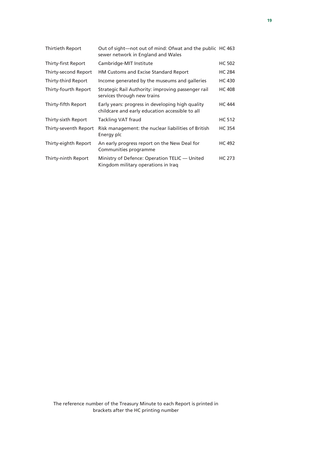| Thirtieth Report      | Out of sight—not out of mind: Ofwat and the public HC 463<br>sewer network in England and Wales     |               |
|-----------------------|-----------------------------------------------------------------------------------------------------|---------------|
| Thirty-first Report   | Cambridge-MIT Institute                                                                             | <b>HC 502</b> |
| Thirty-second Report  | HM Customs and Excise Standard Report                                                               | <b>HC 284</b> |
| Thirty-third Report   | Income generated by the museums and galleries                                                       | <b>HC 430</b> |
| Thirty-fourth Report  | Strategic Rail Authority: improving passenger rail<br>services through new trains                   | <b>HC 408</b> |
| Thirty-fifth Report   | Early years: progress in developing high quality<br>childcare and early education accessible to all | <b>HC 444</b> |
| Thirty-sixth Report   | Tackling VAT fraud                                                                                  | <b>HC 512</b> |
| Thirty-seventh Report | Risk management: the nuclear liabilities of British<br>Energy plc                                   | <b>HC 354</b> |
| Thirty-eighth Report  | An early progress report on the New Deal for<br>Communities programme                               | <b>HC 492</b> |
| Thirty-ninth Report   | Ministry of Defence: Operation TELIC — United<br>Kingdom military operations in Iraq                | <b>HC 273</b> |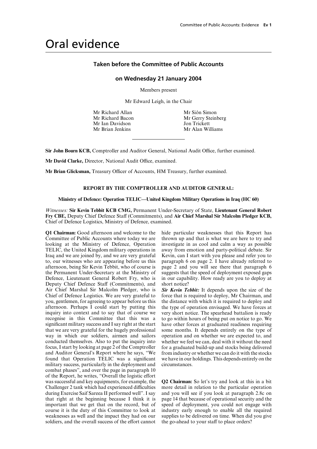# Oral evidence

# **Taken before the Committee of Public Accounts**

# **on Wednesday 21 January 2004**

Members present

Mr Edward Leigh, in the Chair

Mr Richard Allan Mr Siôn Simon Mr Ian Davidson Jon Trickett Mr Brian Jenkins Mr Alan Williams

Mr Richard Bacon Mr Gerry Steinberg

**Sir John Bourn KCB,** Comptroller and Auditor General, National Audit Office, further examined.

Mr David Clarke, Director, National Audit Office, examined.

Mr Brian Glicksman, Treasury Officer of Accounts, HM Treasury, further examined.

# **REPORT BY THE COMPTROLLER AND AUDITOR GENERAL:**

# **Ministry of Defence: Operation TELIC—United Kingdom Military Operations in Iraq (HC 60)**

*Witnesses:* **Sir Kevin Tebbit KCB CMG,** Permanent Under-Secretary of State, **Lieutenant General Robert** Fry CBE, Deputy Chief Defence Staff (Commitments), and Air Chief Marshal Sir Malcolm Pledger KCB, Chief of Defence Logistics, Ministry of Defence, examined.

**Q1 Chairman:** Good afternoon and welcome to the hide particular weaknesses that this Report has Committee of Public Accounts where today we are thrown up and that is what we are here to try and Committee of Public Accounts where today we are thrown up and that is what we are here to try and looking at the Ministry of Defence. Operation investigate in as cool and calm a way as possible TELIC, the United Kingdom military operations in away from emotion and party-political debate. Sir Iraq and we are joined by, and we are very grateful Kevin, can I start with you please and refer you to to, our witnesses who are appearing before us this paragraph 6 on page 2. I have already referred to afternoon, being Sir Kevin Tebbit, who of course is page 2 and you will see there that paragraph 6 afternoon, being Sir Kevin Tebbit, who of course is the Permanent Under-Secretary at the Ministry of suggests that the speed of deployment exposed gaps Defence, Lieutenant General Robert Fry, who is in our capability. How ready are you to deploy at Deputy Chief Defence Staff (Commitments), and short notice? Air Chief Marshal Sir Malcolm Pledger, who is **Sir Kevin Tebbit:** It depends upon the size of the Chief of Defence Logistics. We are very grateful to force that is required to deploy, Mr Chairman, and you, gentlemen, for agreeing to appear before us this the distance with which it is required to deploy and afternoon. Perhaps I could start by putting this the type of operation envisaged. We have forces at inquiry into context and to say that of course we very short notice. The spearhead battalion is ready recognise in this Committee that this was a to go within hours of being put on notice to go. We significant military success and I say right at the start have other forces at graduated readiness requiring that we are very grateful for the hugely professional some months. It depends entirely on the type of way in which our soldiers, airmen and sailors operation and on whether we are expected to, and conducted themselves. Also to put the inquiry into whether we feel we can, deal with it without the need focus, I start by looking at page 2 of the Comptroller for a graduated build-up and stocks being delivered and Auditor General's Report where he says, "We from industry or whether we can do it with the stocks found that Operation TELIC was a significant we have in our holdings. This depends entirely on the military success, particularly in the deployment and circumstances. combat phases", and over the page in paragraph 10 of the Report, he writes, "Overall the logistic effort was successful and key equipments, for example, the **Q2 Chairman:** So let's try and look at this in a bit Challenger 2 tank which had experienced difficulties more detail in relation to the particular operation during Exercise Saif Sareea II performed well". I say and you will see if you look at paragraph 2.8c on that right at the beginning because I think it is page 14 that because of operational security and the important that we get that on the record, but of speed of deployment, you could not engage with course it is the duty of this Committee to look at industry early enough to enable all the required weaknesses as well and the impact they had on our supplies to be delivered on time. When did you give soldiers, and the overall success of the effort cannot the go-ahead to your staff to place orders?

investigate in as cool and calm a way as possible

force that is required to deploy, Mr Chairman, and for a graduated build-up and stocks being delivered

more detail in relation to the particular operation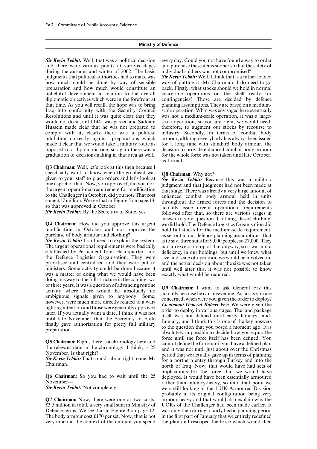and there were various points at various stages during the autumn and winter of 2002. The basic individual soldiers was not compromised? judgments that political authorities had to make was *Sir Kevin Tebbit:* Well, I think that is a rather loaded how much could be done by way of sensible preparation and how much would constitute an back. Firstly, what stocks should we hold in normal unhelpful development in relation to the overall peacetime operations on the shelf ready for diplomatic objectives which were in the forefront at contingencies? Those are decided by defence that time. As you will recall, the hope was to bring planning assumptions. They are based on a medium-Iraq into conformity with the Security Council scale operation. What was envisaged here eventually Resolutions and until it was quite clear that they was not a medium-scale operation, it was a largewould not do so, until 1441 was passed and Saddam scale operation, so you are right, we would need, Hussein made clear that he was not prepared to therefore, to augment our stocks by recourse to comply with it, clearly there was a political industry. Secondly, in terms of combat body inhibition correctly against preparations which armour, although everybody has always been issued made it clear that we would take a military route as for a long time with standard body armour, the opposed to a diplomatic one, so again there was a decision to provide enhanced combat body armour graduation of decision-making in that area as well. for the whole force was not taken until late October,

**Q3 Chairman:** Well, let's look at this then because I specifically want to know when the go-ahead was specifically want to know when the go-ahead was<br>given to your staff to place orders and let's look at<br>one aspect of that. Now, you approved, did you not,<br>the urgent operational requirement for modification<br>to the Challenge

The urgent operational requirements were basically had an excess on top of that anyway, so it was not a established by Permanent Joint Headquarters and deficiency in our holdings, but until we knew what the Defence Logistics Organisation. They were size and scale of operation we would be involved in, prioritised and centralised and they were put to and the actual decision about the size was not taken ministers. Some activity could be done because it until well after this, it was not possible to know was a matter of doing what we would have been exactly what would be required. doing anyway to the full structure in the coming two or three years. It was a question of advancing routine<br>activity where there would be absolutely no<br>ambiguous signals given to anybody. Some,<br>however, were much more directly related to a war-<br>fighting intention and those w

 $£3.5$  million in total, a very small sum in Ministry of Defence terms. We see that in Figure 3 on page 12. was only then during a fairly hectic planning period The body armour cost £170 per set. Now, that is not in the first part of January that we entirely redefined very much in the context of the amount you spend the plan and rescoped the force which would then

**Sir Kevin Tebbit:** Well, that was a political decision every day. Could you not have found a way to order and there were various points at various stages and purchase these items sooner so that the safety of

as I recall—

answer to your question. Clothing, desert clothing, **Q4 Chairman:** How did you approve this urgent we did hold. The Defence Logistics Organisation did modification in October and not approve the hold full stocks for the medium-scale requirement, purchase of body armour and clothing? as set out in our defence planning assumptions, that *Sir Kevin Tebbit:* I still need to explain the system. is to say, three suits for 9,000 people, so 27,000. They

force until the force itself has been defined. You **Q5 Chairman:** Right, there is a chronology here and<br>the relevant date in the chronology, I think, is 25<br>November. Is that right?<br>November. Is that right?<br>November. Is that right?<br>November. Is that right?<br>That sounds about implications for the force that we would have **Q6 Chairman:** So you had to wait until the 25 deployed. It would have been essentially armoured November—<br> **Sir Kevin Tebbit:** Not completely—<br> **Sir Kevin Tebbit:** Not completely—<br>
were still looking at the 1 UK Armoured were still looking at the 1 UK Armoured Division probably in its original configuration being very **Q7 Chairman:** Now, there were one or two costs, armour-heavy and that would also explain why the £3.5 million in total, a very small sum in Ministry of UORs of the Challenger had been made earlier. It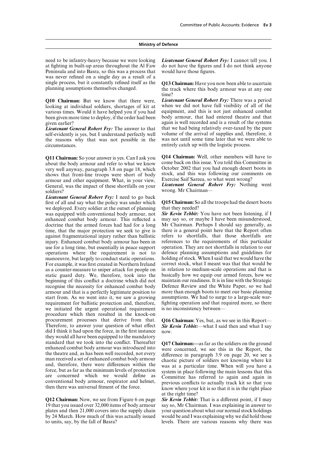need to be infantry-heavy because we were looking *Lieutenant General Robert Fry:* I cannot tell you. I at fighting in built-up areas throughout the Al Faw do not have the figures and I do not think anyone at fighting in built-up areas throughout the Al Faw Peninsula and into Basra, so this was a process that would have those figures. was never refined on a single day as a result of a single process, but it constantly refined itself as the **Q13 Chairman:** Have you now been able to ascertain planning assumptions themselves changed.

looking at individual soldiers, shortages of kit at various times. Would it have helped you if you had equipment, and this is not just enhanced combat

the reasons why that was not possible in the circumstances. entirely catch up with the logistic process.

about the body armour and refer to what we know come back on this issue. You told this Committee in<br>very well anyway paragraph 3.8 on page 18, which October 2002 that you had enough desert boots in very well anyway, paragraph 3.8 on page 18, which October 2002 that you had enough desert boots in<br>shows that front-line troops were short of body stock, and this was following our comments on shows that front-line troops were short of body stock, and this was following our comm<br>armour and other equipment. What in your view Exercise Saif Sareea, so what went wrong? armour and other equipment. What, in your view, General, was the impact of these shortfalls on your *Lieutenant General Robert Fry:* Nothing went soldiers? Wrong. Mr Chairman-

*Lieutenant General Robert Fry:* I need to go back first of all and say what the policy was under which we deployed. Every soldier at the outset of planning was equipped with conventional body armour, not **Sir Kevin Tebbit:** You have not been listening, if I enhanced combat body armour. This reflected a may say so, or maybe I have been misunderstood, enhanced combat body armour. This reflected a may say so, or maybe I have been misunderstood, doctrine that the armed forces had had for a long Mr Chairman. Perhaps I should say generally, as doctrine that the armed forces had had for a long Mr Chairman. Perhaps I should say generally, as time, that the major protection we seek to give is there is a general point here that the Report often time, that the major protection we seek to give is there is a general point here that the Report often against fragmentational injury rather than ballistic refers to shortfalls, that those shortfalls are against fragmentational injury rather than ballistic refers to shortfalls, that those shortfalls are injury. Enhanced combat body armour has been in references to the requirements of this particular injury. Enhanced combat body armour has been in references to the requirements of this particular use for a long time, but essentially in peace support operation. They are not shortfalls in relation to our use for a long time, but essentially in peace support operations where the requirement is not to defence planning assumptions and guidelines for manoeuvre, but largely to conduct static operations. holding of stock. When I said that we would have the For example, it was first created in Northern Ireland correct stock, what I meant was that that would be For example, it was first created in Northern I reland as a counter-measure to sniper attack for people on in relation to medium-scale operations and that is static guard duty. We, therefore, took into the basically how we equip our armed forces, how we beginning of this conflict a doctrine which did not maintain our readiness. It is in line with the Strategic recognise the necessity for enhanced combat body Defence Review and the White Paper, so we had recognise the necessity for enhanced combat body Defence Review and the White Paper, so we had armour and that is a perfectly legitimate position to more than enough boots to meet our basic planning armour and that is a perfectly legitimate position to start from. As we went into it, we saw a growing assumptions. We had to surge to a large-scale warrequirement for ballistic protection and, therefore, fighting operation and that required more, so there we initiated the urgent operational requirement is no inconsistency between procedure which then resulted in the knock-on procurement processes that derive from that. **Q16 Chairman:** Yes, but, as we see in this Report—<br>Therefore, to answer your question of what effect *Sir Kevin Tebbit:*—what I said then and what I say Therefore, to answer your question of what effect did I think it had upon the force, in the first instance now. they would all have been equipped to the mandatory standard that we took into the conflict. Thereafter<br>enhanced combat body armour was introduced into<br>the theatre and, as has been well recorded, not every<br>the difference in paragraph 3.9 on page 20, we see a<br>man received a

plates and then 21,000 covers into the supply chain by 24 March. How much of this was actually issued would be and I was explaining why we did hold those to units, say, by the fall of Basra? levels. There are various reasons why there was

the track where this body armour was at any one time?

**Q10 Chairman:** But we know that there were, *Lieutenant General Robert Fry:* There was a period looking at individual soldiers, shortages of kit at when we did not have full visibility of all of the been given more time to deploy, if the order had been body armour, that had entered theatre and that given earlier?<br>again is well recorded and is a result of the systems again is well recorded and is a result of the systems *Lieutenant General Robert Fry:* The answer to that that we had being relatively over-taxed by the pure self-evidently is yes, but I understand perfectly well volume of the arrival of supplies and, therefore, it volume of the arrival of supplies and, therefore, it was not until some time later that we were able to

**Q11 Chairman:** So your answer is yes. Can I ask you **Q14 Chairman:** Well, other members will have to about the body armour and refer to what we know come back on this issue. You told this Committee in

**Q15 Chairman:** So all the troops had the desert boots that they needed?

at the right time?

**Q12 Chairman:** Now, we see from Figure 6 on page *Sir Kevin Tebbit:* That is a different point, if I may 19 that you issued over 32,000 items of body armour say so, Mr Chairman. I was explaining in answer to say so, Mr Chairman. I was explaining in answer to your question about what our normal stock holdings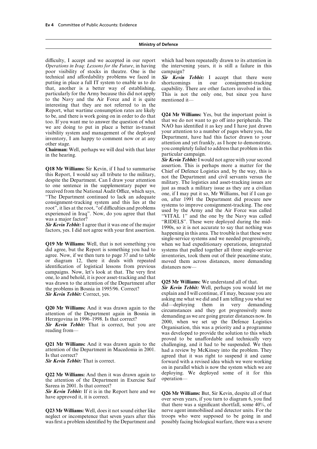*Operations in Iraq: Lessons for the Future*, in having the intervening years, it is still a failure in this poor visibility of stocks in theatre. One is the campaign? technical and affordability problems we faced in *Sir Kevin Tebbit:* I accept that there were putting in place a full IT system to enable us to do shortcomings in our consignment-tracking that, another is a better way of establishing, capability. There are other factors involved in this. particularly for the Army because this did not apply This is not the only one, but since you have to the Navy and the Air Force and it is quite mentioned it interesting that they are not referred to in the Report, what wartime consumption rates are likely<br>to be, and there is work going on in order to do that<br>too. If you want me to answer the question of what<br>that we do not want to go off into peripherals. The<br>we are doing to we are doing to put in place a better in-transit we are denig to part in place a sector in transition to a number of pages where you, the visibility system and management of the deployed your attention to a number of pages where you, the inventory, I am happy to comment

**Chairman:** Well, perhaps we will deal with that later in the hearing.

agree. Now, if we then turn to page 37 and to table inventories, took them out of their peacetime state, or diagram 12, there it deals with repeated moved them across distances, more demanding identification of logistical lessons from previous distances now campaigns. Now, let's look at that. The very first one, lo and behold, it is poor asset-tracking and that was drawn to the attention of the Department after **Q25 Mr Williams:** We understand all of that. the problems in Bosnia in 1995/96. Correct? *Sir Kevin Tebbit:* Well, perhaps you would let me

attention of the Department in Macedonia in 2001. had a review by McKinsey into the problem. They

the attention of the Department in Exercise Saif Sareea in 2001. Is that correct?

**Sir Kevin Tebbit:** If it is in the Report here and we **Q26 Mr Williams:** But, Sir Kevin, despite all of that have approved it, it is correct. **Our sexume of the sexume of the sexume of the sexume of the sexume of sexume i** 

was first a problem identified by the Department and possibly facing biological warfare, there was a severe

difficulty, I accept and we accepted in our report which had been repeatedly drawn to its attention in

capability. There are other factors involved in this.

other stage.<br>
other stage.<br> **Chairman:** Well perhans we will deal with that later<br>
you completely failed to address that problem in this<br>
chairman: Well perhans we will deal with that later<br>
you completely failed to addres particular campaign.

**Sir Kevin Tebbit:** I would not agree with your second assertion. This is perhaps more a matter for the **Q18 Mr Williams:** Sir Kevin, if I had to summarise assertion. This is perhaps more a matter for the this Report, I would say all tribute to the military, included to the Department and civil servants versus the doome sent single-service systems and we needed progressively, **Q19 Mr Williams:** Well, that is not something you when we had expeditionary operations, integrated did agree, but the Report is something you had to systems that pulled together all three single-service systems that pulled together all three single-service

*Sir Kevin Tebbit:* Correct, yes. explain and I will continue, if I may, because you are asking me what we did and I am telling you what we **Q20 Mr Williams:** And it was drawn again to the<br>attention of the Department again in Bosnia in<br>Herzegovina in 1996–1998. Is that correct?<br>**Sir Kevin Tebbit:** That is correct, but you are  $\begin{array}{c} \text{did—deploying} \\ \text{diamanding as we are going greater distances now. In$ proved to be unaffordable and technically very **Q21 Mr Williams:** And it was drawn again to the challenging, and it had to be suspended. We then Is that correct?<br> **Sir Kevin Tebbit:** That is correct.<br> **Sir Kevin Tebbit:** That is correct.<br> **Sir Kevin Tebbit:** That is correct. forward with a revised idea which we were working on in parallel which is now the system which we are **Q22 Mr Williams:** And then it was drawn again to deploying. We deployed some of it for this the attention of the Department in Exercise Saif operation—

that there was a significant shortfall, some 40%, of **Q23 Mr Williams:** Well, does it not sound either like nerve agent immobilised and detector units. For the neglect or incompetence that seven vears after this troops who were supposed to be going in and troops who were supposed to be going in and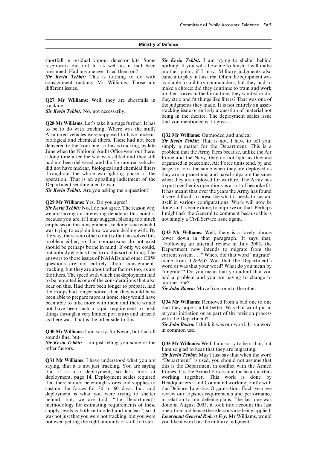presumed. Had anyone ever tried them on? another point, if I may. Military judgments also

**Q28 Mr Williams:** Let's take it a stage further. It has that you mentioned is, I agree to be to do with tracking. Where was the stuff? Armoured vehicles were supposed to have nuclear, **Q32 Mr Williams:** Outmoded and unclear. delivered to the front line, so this is tracking, by late

we are having an interesting debate at this point is because you are, if I may suggest, placing too much not simply a Civil Service issue again. emphasis on the consignment-tracking issue which I was trying to explain how we were dealing with. By<br>the way, there is a lovely phrase<br>the way, there is no other country that has solved this<br>problem either, so that comparisons do not exist to lower down in that paragraph been able to prepare more at home, they would have been able to take more with them and there would **Q34 Mr Williams:** Removed from a bad one to one not have been such a rapid requirement to push that they hope is a bit better. Was that word put in things through a very limited port entry and airhead at your initiation or as part of the revision process<br>as there was That is the other side to this with the Department? as there was. That is the other side to this.

**Q30 Mr Williams:** I am sorry, Sir Kevin, but that all in common use. sounds fine, but—

saying, that it is not just tracking. You are saying this is the Department in conflict with the Armed that it is also deployment, so let's look at Forces. It is the Armed Forces and the headquarters deployment, page 14. Deployment scales required working together. This work is done by that there should be enough stores and supplies to Headquarters Land Command working jointly with sustain the forces for 30 to 60 days, but, and the Defence Logistics Organisation. Each year we deployment is what you were trying to shelter review our logistics requirements and performance behind, but, we are told, "the Department's in relation to our defence plans. The last one was methodology for estimating requirements of these done in August 2003, it took into account this last supply levels is both outmoded and unclear", so it operation and hence these lessons are being applied. not even getting the right amounts of stuff to track.

shortfall in residual vapour detector kits. Some *Sir Kevin Tebbit:* I am trying to shelter behind respirators did not fit as well as it had been nothing. If you will allow me to finish, I will make nothing. If you will allow me to finish, I will make **Sir Kevin Tebbit:** This is nothing to do with came into play in this area. Often the equipment was consignment-tracking, Mr Williams. Those are available to military commanders, but they had to available to military commanders, but they had to different issues. The make a choice: did they continue to train and work up their forces in the formations they wanted or did **Q27 Mr Williams:** Well, they are shortfalls in they stop and fit things like filters? That was one of the judgments they made. It is not entirely an assetting. **Sir Kevin Tebbit:** No, not necessarily. tracking issue or entirely a question of material not being in the theatre. The deployment scales issue

**Sir Kevin Tebbit:** That is not, I have to tell you, simply a matter for the Department. This is a June when the National Audit Office went out there, problem that the Army faces because, unlike the Air a long time after the war was settled and they still Force and the Navy, they do not fight as they are Force and the Navy, they do not fight as they are had not been delivered, and the 7 armoured vehicles organised in peacetime. Air Force units tend, by and did not have nuclear, biological and chemical filters large, to look the same when they are deployed as throughout the whole war-fighting phase of the they are in peacetime, and naval ships are the same throughout the whole war-fighting phase of the they are in peacetime, and naval ships are the same<br>operation. That is an appalling indictment of the when they are deployed for warfare. The Army has operation. That is an appalling indictment of the when they are deployed for warfare. The Army has<br>Department sending men to war. to put together its operations as a sort of bespoke fit. Department sending men to war.<br> **Sir Kevin Tebbit:** Are you asking me a question? It has meant that over the years the Army has found It has meant that over the years the Army has found it very difficult to prescribe what it needs to sustain **Q29 Mr Williams:** Yes. Do you agree? itself in various configurations. Work will now be **Sir Kevin Tebbit:** No. I do not agree. The reason why done, and is being done, to improve on that. Perhaps done, and is being done, to improve on that. Perhaps<br>I might ask the General to comment because this is

*Sir John Bourn:* I think it was our word. It is a word

**Sir Kevin Tebbit:** I am just telling you some of the **Q35 Mr Williams:** Well, I am sorry to hear that, but other factors. I am so glad to hear that they are migrating.

*Sir Kevin Tebbit:* May I just say that when the word **Q31 Mr Williams:** I have understood what you are "Department" is used, you should not assume that working together. This work is done by was not just that you were not tracking, but you were *Lieutenant General Robert Fry:* Mr Williams, would not even getting the right amounts of stuff to track. you like a word on the military judgment?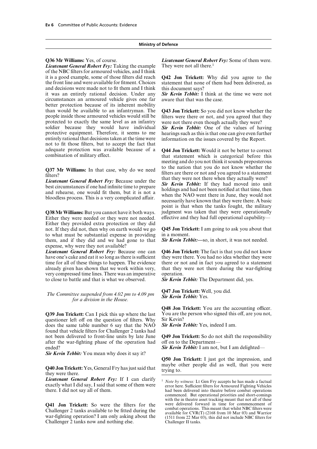Lieutenant General Robert Fry: Taking the example of the NBC filters for armoured vehicles, and I think it is a good example, some of those filters did reach **Q42 Jon Trickett:** Why did you agree to the and decisions were made not to fit them and I think this document says? it was an entirely rational decision. Under any *Sir Kevin Tebbit:* I think at the time we were not circumstances an armoured vehicle gives one far better protection because of its inherent mobility than would be available to an infantryman. The **Q43 Jon Trickett:** So you did not know whether the people inside those armoured vehicles would still be protected to exactly the same level as an infantry were not there even though actually they were?<br>soldier because they would have individual **Sir Kevin Tebbit:** One of the values of ha soldier because they would have individual *Sir Kevin Tebbit:* One of the values of having protective equipment. Therefore, it seems to me hearings such as this is that one can give even further entirely rational that decisions taken at the time were information on the issues covered by the Report. not to fit those filters, but to accept the fact that adequate protection was available because of a **Q44 Jon Trickett:** Would it not be better to correct

Either they were needed or they were not needed. Either they provided extra protection or they did not. If they did not, then why on earth would we go **Q45 Jon Trickett:** I am going to ask you about that to what must be substantial expense in providing in a moment. them, and if they did and we had gone to that *Sir Kevin Tebbit:—*so, in short, it was not needed. expense, why were they not available?

have one's cake and eat it so long as there is sufficient they were there. You had no idea whether they were very compressed time lines. There was an imperative operation. to close to battle and that is what we observed. *Sir Kevin Tebbit:* The Department did, yes.

**Q47 Jon Trickett:** Well, you did. *The Committee suspended from 4.02 pm to 4.09 pm Sir Kevin Tebbit:* Yes. *for a division in the House.*

questioner left off on the question of filters. Why Sir Kevin?<br>does the same table number 6 say that the NAO Sir Kevin Tebbit: Yes, indeed I am. does the same table number 6 say that the NAO found that vehicle filters for Challenger 2 tanks had not been delivered to front-line units by late June **Q49 Jon Trickett:** So do not shift the responsibility after the war-fighting phase of the operation had off on to the Department ended? **Sir Kevin Tebbit:** I am not, but I am delighted—

*Sir Kevin Tebbit:* You mean why does it say it?

**Lieutenant General Robert Fry:** If I can clarify <br>exactly what I did say, I said that some of them were exactly what I did say, I said that some of them were there. Sufficient filters for Armoured Fighting Vehicles had be

Challenger 2 tanks available to be fitted during the<br>war-fighting operation? I am only asking about the<br>Challenger II tanks.<br>Challenger 2 tanks now and nothing else.<br>Challenger II tanks. Challenger 2 tanks now and nothing else.

**Q36 Mr Williams:** Yes, of course. *Lieutenant General Robert Fry:* Some of them were. *Lieutenant General Robert Fry:* Taking the example They were not all there.<sup>1</sup>

statement that none of them had been delivered, as

hearings such as this is that one can give even further

that statement which is categorical before this meeting and do you not think it sounds preposterous **Q37 Mr Williams:** In that case, why do we need<br>filters are there or not and you agreed to a statement<br>filters?<br>*Lieutenant General Robert Fry:* Because under the<br>best circumstances if one had infinite time to prepare<br>best point is that when the tanks fought, the military **Q38 Mr Williams:** But you cannot have it both ways. judgment was taken that they were operationally Either they were needed or they were not needed. effective and they had full operational capability—

*Lieutenant General Robert Fry:* Because one can **Q46 Jon Trickett:** The fact is that you did not know time for all of these things to happen. The evidence there or not and in fact you agreed to a statement already given has shown that we work within very, that they were not there during the war-fighting

**Q48 Jon Trickett:** You are the accounting officer. **Q39 Jon Trickett:** Can I pick this up where the last You are the person who signed this off, are you not, questioner left off on the question of filters Why Sir Kevin?

**Q50 Jon Trickett:** I just got the impression, and **Q40 Jon Trickett:** Yes, General Fry has just said that maybe other people did as well, that you were there.

had been delivered into theatre before combat operations commenced. But operational priorities and short-comings with the in theatre asset tracking meant that not all of these<br>were delivered forward in time for commencement of **Q41 Jon Trickett:** So were the filters for the were delivered forward in time for commencement of containing the series over the filters were delivered forward in time for commencement of containing the series were combat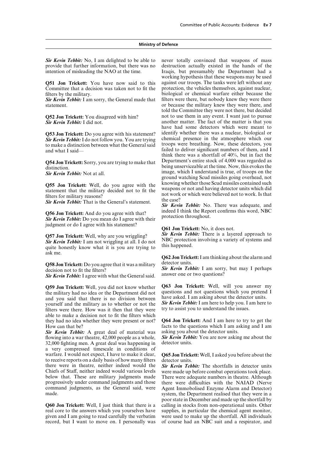provide that further information, but there was no intention of misleading the NAO at the time. Iraqis, but presumably the Department had a

Committee that a decision was taken not to fit the filters by the military. biological or chemical warfare either because the

to make a distinction between what the General said failed to deliver significant numbers of them, and I and what I said—

judgment or do I agree with his statement? **Q61 Jon Trickett:** No, it does not.

**Q57 Jon Trickett:** Well, why are you wriggling?<br> **Sir Kevin Tebbit:** There is a layered approach to<br> **Sir Kevin Tebbit:** I am not wriggling at all. I do not<br>
this happened.<br>
WBC protection involving a variety of systems a ask me.

**Q58 Jon Trickett:** Do you agree that it was a military detector units.<br>decision not to fit the filters?<br>**Sir Kevin Teb** 

Sir Kevin Tebbit: I agree with what the General said.

the military had no idea or the Department did not questions and not questions which you pretend I and you said that there is no division between have asked. I am asking about the detector units. Survey when  $\frac{Sir \; Kevin \; Tebit$ yourself and the military as to whether or not the **Sir Kevin Tebbit:** I am here to help you. I am here there How was it then that they were try to assist you to understand the issues. filters were there. How was it then that they were able to make a decision not to fit the filters which they had no idea whether they were present or not? **Q64 Jon Trickett:** And I am here to try to get the How can that be? **Facts** to the questions which I am asking and I am

*Sir Kevin Tebbit:* A great deal of material was asking you about the detector units. flowing into a war theatre, 42,000 people as a whole, *Sir Kevin Tebbit:* You are now asking me about the 32,000 fighting men. A great deal was happening in detector units. a very compressed timescale in conditions of warfare. I would not expect, I have to make it clear, **Q65 Jon Trickett:** Well, I asked you before about the to receive reports on a daily basis of how many filters detector units. to receive reports on a daily basis of how many filters<br>there were in theatre, neither indeed would the there were in theatre, neither indeed would the **Sir Kevin Tebbit:** The shortfalls in detector units Chiefs of Staff, neither indeed would various levels were made up before combat operations took place. Chiefs of Staff, neither indeed would various levels were made up before combat operations took place.<br>below that. These are military judgments made There were adequate numbers in theatre. Although progressively under command judgments and those there were difficulties with the NAIAD (Nerve command judgments, as the General said, were Agent Immobolised Enzyme Alarm and Detector)<br>system, the Department realised that they were in a

**Q60 Jon Trickett:** Well, I just think that there is a calling in stocks from non-operational units. Other real core to the answers which you yourselves have supplies, in particular the chemical agent monitor, real core to the answers which you yourselves have given and I am going to read carefully the verbatim were used to make up the shortfall. All individuals

**Sir Kevin Tebbit:** No, I am delighted to be able to never totally convinced that weapons of mass provide that further information, but there was no destruction actually existed in the hands of the working hypothesis that these weapons may be used **Q51 Jon Trickett:** You have now said to this against our troops. The tanks were left without any Committee that a decision was taken not to fit the protection, the vehicles themselves, against nuclear, *Sir Kevin Tebbit:* I am sorry, the General made that filters were there, but nobody knew they were there statement. The military knew they were there, and statement. told the Committee they were not there, but decided **Q52 Jon Trickett:** You disagreed with him? not to use them in any event. I want just to pursue another matter. The fact of the matter is that you another matter. The fact of the matter is that you another matter. The fact of the matter is that you have had some detectors which were meant to **Q53 Jon Trickett:** Do you agree with his statement? identify whether there was a nuclear, biological or **Sir Kevin Tehbit:** I do not follow you You are trying chemical presence in the atmosphere which our **Sir Kevin Tebbit:** I do not follow you. You are trying chemical presence in the atmosphere which our to make a distinction between what the General said troops were breathing. Now, these detectors, you think there was a shortfall of 40%, but in fact the **Q54 Jon Trickett:** Sorry, you are trying to make that Department's entire stock of 4,000 was regarded as distinction. image, which I understand is true, of troops on the *Sir Kevin Tebbit:* Not at all. ground watching Scud missiles going overhead, not **Q55 Jon Trickett:** Well, do you agree with the knowing whether those Scud missiles contained such statement that the military decided not to fit the weapons or not and having detector units which did not work or which wer

**Q56 Jon Trickett:** And do you agree with that? indeed I think the Report confirms this word, NBC **Sir Kevin Tebbit:** Do you mean do I agree with their protection throughout.

**Q62 Jon Trickett:**I am thinking about the alarm and

*Sir Kevin Tebbit:* I am sorry, but may I perhaps answer one or two questions?

**Q59 Jon Trickett:** Well, you did not know whether **Q63 Jon Trickett:** Well, will you answer my the military had no idea or the Department did not questions and not questions which you pretend I

There were adequate numbers in theatre. Although system, the Department realised that they were in a poor state in December and made up the shortfall by record, but I want to move on. I personally was of course had an NBC suit and a respirator, and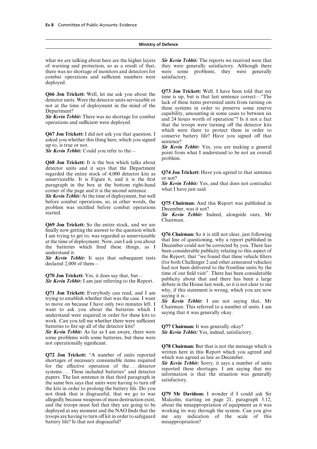there was no shortage of monitors and detectors for were some problems, they were generally combat operations and sufficient numbers were satisfactory. deployed.

asked you whether this thing here, which you signed sentence?<br>up to, is true or not.

problem. **Q68 Jon Trickett:** It is the box which talks about detector units and it says that the Department<br>regarded the entire stock of 4,000 detector kits as<br>unserviceable. It is Figure 6, and it is the first or not?<br>paragraph in the box at the bottom right-hand *Sir Kevin Tebbit:* 

*Sir Kevin Tebbit:* At the time of deployment, but well before combat operations, so, in other words, the before combat operations, so, in other words, the **Q75 Chairman:** And this Report was published in problem was rectified before combat operations December, was it not?<br>started. Sir Kevin Tebbit: Indeed, alongside ours, Mr

**Q69 Jon Trickett:** So the entire stock, and we are finally now getting the answer to the question which I am trying to get to, was regarded as unserviceable<br>at the time of deployment. Now, can I ask you about<br>that line of questioning, why a report published in<br>the batteries which fired these things, as I December could not b

**Q71 Jon Trickett:** Everybody can read, and I am<br>trying to establish whether that was the case. I want<br>to move on because I have only two minutes left. I<br>want to ask you about the batteries which I<br>understand were require understand were required in order for these kits to work. Can you tell me whether there were sufficient

*Sir Kevin Tebbit:* As far as I am aware, there were some problems with some batteries, but these were

**Q72 Jon Trickett:** "A number of units reported written here in this Report which you agreed and shortages of necessary consumable items required which was agreed as late as December.<br>
for the effective operation of the.. the kits in order to prolong the battery life. Do you not think that is disgraceful, that we go to war **Q79 Mr Davidson:** I wonder if I could ask Sir allegedly because weapons of mass destruction exist, Malcolm, starting on page 21, paragraph 3.12, allegedly because weapons of mass destruction exist, and the troops must feel that they are going to be about the misappropriation of equipment as it was deployed at any moment and the NAO finds that the working its way through the system. Can you give troops are having to turn off kit in order to safeguard me any indication of the scale of this battery life? Is that not disgraceful? misappropriation?

what we are talking about here are the higher layers *Sir Kevin Tebbit:* The reports we received were that of warning and protection, so as a result of that, they were generally satisfactory. Although there they were generally satisfactory. Although there

**Q66 Jon Trickett:** Well, let me ask you about the<br>detector units. Were the detector units serviceable or<br>not at the time of deployment in the mind of the<br>Department?<br>Department?<br>**Sir Kevin Tebbit:** There was no shortage which were there to protect them in order to **Q67 Jon Trickett:** I did not ask you that question. I conserve battery life? Have you signed off that

up to, is true or not. *Sir Kevin Tebbit:* Yes, you are making a general *Sir Kevin Tebbit:* Could you refer to the— point from what I understand to be not an overall

Chairman.

**Sir Kevin Tebbit:** It says that subsequent tests the Report, that "we found that these vehicle filters declared 2,000 of them—<br>declared 2,000 of them—<br>had not been delivered to the frontline units by the **Q70 Jon Trickett:** Yes, it does say that, but—<br> **Sir Kevin Tebbit:** I am just referring to the Report.<br>
debate in the House last week, so it is not clear to me

batteries to fire up all of the detector kits?<br>*Gir Kevin Tebbit:* As far as I am aware, there were *Sir Kevin Tebbit:* Yes, indeed, satisfactory.

not operationally significant.<br> **Q78 Chairman:** But that is not the message which is<br>
written here in this Report which you agreed and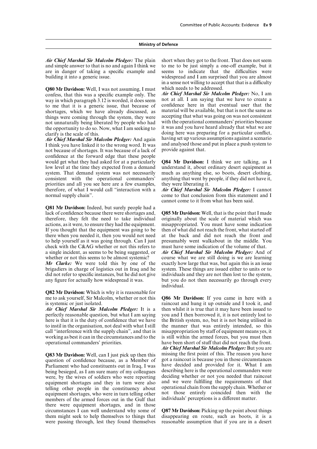*Air Chief Marshal Sir Malcolm Pledger:* The plain short when they got to the front. That does not seem and simple answer to that is no and again I think we to me to be just simply a one-off example, but it are in danger of taking a specific example and seems to indicate that the difficulties were building it into a generic issue. widespread and I am surprised that you are almost

**Q80 Mr Davidson:** Well, I was not assuming, I must which needs to be addressed.<br>confess, that this was a specific example only. The *Air Chief Marshal Sir Malcolm Pledger*: No, I am confess, that this was a specific example only. The *Air Chief Marshal Sir Malcolm Pledger:* No, I am way in which paragraph 3.12 is worded, it does seem not at all. I am saying that we have to create a<br>to me that it is a generic issue, that because of confidence here in that eventual user that the to me that it is a generic issue, that because of confidence here in that eventual user that the shortages, which we have already discussed, as material will be available, but that is not the same as things were coming thr not unnaturally being liberated by people who had with the operational commanders' priorities because<br>the opportunity to do so. Now, what I am seeking to it was and you have heard already that what we are

I think you have linked it to the wrong word. It was and analysed those and put in place a push system to provide against that. not because of shortages. It was because of a lack of confidence at the forward edge that these people would get what they had asked for at a particularly **Q84 Mr Davidson:** I think we are talking, as I low level at the time they expected from a demand understand it, about ordinary desert equipment as system. That demand system was not necessarily much as anything else, so boots, desert clothing, consistent with the operational commanders' anything that went by people, if they did not have it, priorities and all you see here are a few examples, they were liberating it. therefore, of what I would call "interaction with a *Air Chief Marshal Sir Malcolm Pledger:* I cannot normal supply chain". come to that conclusion from this statement and I

**Q81 Mr Davidson:** Indeed, but surely people had a lack of confidence because there were shortages and, **Q85 Mr Davidson:** Well, that is the point that I made actions, as it were, to ensure they had the equipment. misappropriated. You must have some indication If you thought that the equipment was going to be then of what did not reach the front, what started off there when you needed it, then you would not need at the back and did not reach the front and to help yourself as it was going through. Can I just presumably went walkabout in the middle. You check with the C&AG whether or not this refers to must have some indication of the volume of that.

brigadiers in charge of logistics out in Iraq and he

**Q82 Mr Davidson:** Which is why it is reasonable for me to ask vourself. Sir Malcolm, whether or not this me to ask yourself, Sir Malcolm, whether or not this **Q86 Mr Davidson:** If you came in here with a is systemic or just isolated.

perfectly reasonable question, but what  $\check{\mathrm{I}}$  am saying here is that it is the duty of confidence that we have the British system, no, but it is not being utilised in to instil in the organisation, not deal with what I still the manner that was entirely intended, so this call "interference with the supply chain", and that is misappropriation by staff of equipment means yes, it working as best it can in the circumstances and to the is still within the armed forces, but you must then

question of confidence because, as a Member of Parliament who had constituents out in Iraq, I was have decided and provided for it. What I am<br>heing besieged as I am sure many of my colleagues describing here is the operational commanders were being besieged, as I am sure many of my colleagues were, by the wives of soldiers who were reporting deciding whether or not you needed that raincoat equipment shortages and they in turn were also and we were fulfilling the requirements of that equipment shortages and they in turn were also and we were fulfilling the requirements of that<br>telling other people in the constituency about operational chain from the supply chain. Whether or<br>equipment shortages, who wer members of the armed forces out in the Gulf that there were equipment shortages, and in those circumstances I can well understand why some of circumstances I can well understand why some of **Q87 Mr Davidson:** Picking up the point about things were passing through, lest they found themselves reasonable assumption that if you are in a desert

to me to be just simply a one-off example, but it in a sense not willing to accept that that is a difficulty

the opportunity to do so. Now, what I am seeking to do it was and you have heard already that what we are clarify is the scale of this.<br> **Air Chief Marshal Sir Malcolm Pledger:** And again having set up various assumptions *Air Chief Marshal Sir Malcolm Pledger:* And again having set up various assumptions against a scenario I think you have linked it to the wrong word. It was and analysed those and put in place a push system to

> understand it, about ordinary desert equipment as anything that went by people, if they did not have it,

> cannot come to it from what has been said.

originally about the scale of material which was a single incident, as seems to be being suggested, or *Air Chief Marshal Sir Malcolm Pledger:* And of course what we are still doing is we are learning *Mr Clarke:* We were told this by one of the exactly how large that was, but again this is an issue brigadiers in charge of logistics out in Iraq and he system. These things are issued either to units or to did not refer to specific instances, but he did not give individuals and they are not then lost to the system, any figure for actually how widespread it was. but you do not then necessarily go through every individual.

raincoat and hung it up outside and I took it, and *Air Chief Marshal Sir Malcolm Pledger:* It is a then whilst it is true that it may have been issued to perfectly reasonable question, but what I am saving vou and I then borrowed it, it is not entirely lost to operational commanders' priorities. have been short of stuff that did not reach the front. *Air Chief Marshal Sir Malcolm Pledger:* But you are **Q83 Mr Davidson:** Well, can I just pick up then this missing the first point of this. The reason you have question of confidence because as a Member of got a raincoat is because you in those circumstances

disappearing en route, such as boots, it is a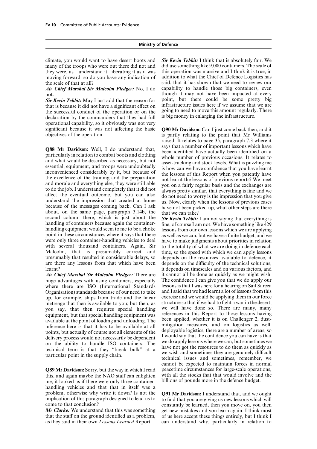they were, as I understand it, liberating it as it was this operation was massive and I think it is true, in moving forward, so do you have any indication of addition to what the Chief of Defence Logistics has

not. The contract of though it may not have been impacted at every

the successful conduct of the operation or on the going to need to move this amount regularly. There declaration by the commanders that they had full is big money in enlarging the infrastructure. declaration by the commanders that they had full operational capability, so it obviously was not very significant because it was not affecting the basic **Q90 Mr Davidson:** Can I just come back then, and it objectives of the operation.

to do the job. I understand completely that it did not<br>always pretty similar, that everything is fine and we<br>affect the eventual outcome, but you can also<br>do not need to worry is the impression that you give<br>understand th second column there, which is just about the **Sir Kevin Tebbit:** I am not saying that everything is handling of containers because again the container-<br>handling equipment would seem to me to be a choke<br>point in these circ were only three container-handling vehicles to deal have to make judgments about priorities in relation with several thousand containers. Again, Sir to the totality of what we are doing in defence each Malcolm, that is presumably correct and time, so the speed with which we can apply lessons presumably that resulted in considerable delays, so depends on the resources available to defence, it are there any lessons from that which have been depends on the difficulty of the technical solutions,

huge advantages with using containers, especially The confidence I can give you that we do apply our where there are ISO (International Standards lessons is that I was here for a hearing on Saif Sareea where there are ISO (International Standards Organisation) standards because of our need to take and I said that we had learnt a lot of lessons from this up, for example, ships from trade and the linear exercise and we would be applying them in our force metreage that then is available to you; but then as structure so that if we had to fight a war in the desert, metreage that then is available to you; but then, as structure so that if we had to fight a war in the desert,<br>you, say that then requires special handling we will have done so. There are many, many you say, that then requires special handling we will have done so. There are many, many<br>equipment, but that special handling equipment was<br>available at the point of loading and unloading. The the point of loading and unloa

this, and again maybe the NAO staff can enlighten with all the stocks that that would involve and me, it looked as if there were only three container-<br>billions of pounds more in the defence budget. me, it looked as if there were only three containerhandling vehicles and that that in itself was a problem, otherwise why write it down? Is not the **Q91 Mr Davidson:** I understand that, and we ought implication of this paragraph designed to lead us to to find that you are giving us new lessons which will<br>come to that conclusion?<br>constantly be learned, then you move on you then

as they said in their own *Lessons Learned* Report. can understand why, particularly in relation to

climate, you would want to have desert boots and *Sir Kevin Tebbit:* I think that is absolutely fair. We did use something like 9,000 containers. The scale of the scale of that at all? said, that it has shown that we need to review our *Air Chief Marshal Sir Malcolm Pledger:* No, I do capability to handle those big containers, even **Sir Kevin Tebbit:** May I just add that the reason for point, but there could be some pretty big that is because it did not have a significant effect on infrastructure issues here if we assume that we are infrastructure issues here if we assume that we are

is partly relating to the point that Mr Williams raised. It relates to page 35, paragraph 7.3 where it **Q88 Mr Davidson:** Well, I do understand that, says that a number of important lessons which have particularly in relation to combat boots and clothing whole number of previous occasions. It relates to and what would be de

depends on the resources available to defence, it learnt? it depends on timescales and on various factors, and *Air Chief Marshal Sir Malcolm Pledger:* There are it cannot all be done as quickly as we might wish. points, but actually of course not all elements of the<br>deployable logistics, there are a number of areas, so<br>delivery process would not necessarily be dependent<br>on the ability to handle ISO containers. The<br>technical term i cannot be expected to maintain forces in normal **Q89 Mr Davidson:** Sorry, but the way in which I read peacetime circumstances for large-scale operations, this, and again maybe the NAO staff can enlighten with all the stocks that that would involve and the

come to that conclusion?<br> *Mr Clarke:* We understand that this was something get new mistakes and you learn again. I think most *Mr Clarke:* We understand that this was something get new mistakes and you learn again. I think most that the staff on the ground identified as a problem, of us here accept these things entirely, but I think I of us here accept these things entirely, but I think I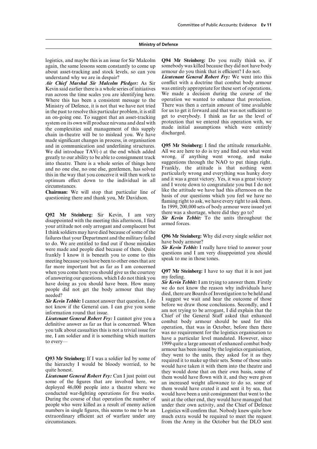logistics, and maybe this is an issue for Sir Malcolm **Q94 Mr Steinberg:** Do you really think so, if again, the same lessons seem constantly to come up somebody was killed because they did not have body about asset-tracking and stock levels, so can you armour do you think that is efficient? I do not.

*Air Chief Marshal Sir Malcolm Pledger:* As Sir Kevin said earlier there is a whole series of initiatives run across the time scales you are identifying here. We made a decision during the course of the Where this has been a consistent message to the operation we wanted to enhance that protection.<br>Ministry of Defence it is not that we have not tried There was then a certain amount of time available Ministry of Defence, it is not that we have not tried in the past to resolve this particular problem, it is still for us to get it forward and that was not sufficient to an on-going one. To suggest that an asset-tracking get to everybody. I think as far as the level of an on-going one. To suggest that an asset-tracking get to everybody. I think as far as the level of system on its own will produce nirvana and deal with protection that we entered this operation with, we the complexities a made significant changes in process, in organisation and in communication and underlining structures. **Q95 Mr Steinberg:** I find the attitude remarkable.<br>We did introduce TAV(-) at the end which added All we are here to do is try and find out what went We did introduce  $TAV(-)$  at the end which added All we are here to do is try and find out what went greatly to our ability to be able to consignment track wrong, if anything went wrong, and make greatly to our ability to be able to consignment track into theatre. There is a whole series of things here suggestions through the NAO to put things right. and no one else, no one else, gentlemen, has solved Frankly, the attitude is that nothing went<br>this in the way that you conceive it will then work to particularly wrong and everything was hunky dory this in the way that you conceive it will then work to particularly wrong and everything was hunky dory optimum effect down to the individual in all and it was a great victory. Yes, it was a great victory

**Q92** Mr Steinberg: Sir Kevin, I am very there was a shortage, where did they go to?<br>disappointed with the meeting this afternoon, I find **Sir Kevin Tebbit:** To the units throughout the your attitude not only arrogant and I think soldiers may have died because of some of the<br>failures that your Department and the military failed<br>to do. We are entitled to find out if those mistakes<br>were made and people died because of them Ouite<br>Were  $\frac{Sir \;$ were made and people died because of them. Quite<br>frankly I know it is beneath you to come to this<br>meeting because you have been to other ones that are<br>speak to me in those tones. far more important but as far as I am concerned when you come here you should give us the courtesy **Q97 Mr Steinberg:** I have to say that it is not just of answering our questions, which I do not think you my feeling. of answering our questions, which I do not think you my feeling.<br>have doing as you should have been How many **Sir Kevin Tebbit:** I am trying to answer them. Firstly

conducted war-fighting operations for five weeks. would have been a unit consignment that went to the During the course of that operation the number of unit at the other end, they would have managed that people who were killed as a result of enemy action under their own activity, and the Chief of Defence numbers in single figures, this seems to me to be an Logistics will confirm that. Nobody knew quite how extraordinary efficient act of warfare under any much extra would be required to meet the request circumstances. from the Army in the October but the DLO sent

understand why we are in despair? *Lieutenant General Robert Fry:* We went into this was entirely appropriate for these sort of operations.

and I wrote down to congratulate you but I do not<br>circumstances.<br>Chairman: We will stop that particular line of like the attitude we have had this afternoon on the **Chairman:** We will stop that particular line of the attitude we have had this attention on the questioning there and thank you, Mr Davidson. <br>questioning there and thank you, Mr Davidson. <br>flaming right to ask, we have ev In 1999, 200,000 sets of body armour were issued yet

have doing as you should have been. How many<br>people did not get the body armour that they<br>needed?<br>Sin Kevin Tebbit: I cannot are somewhy individuals have<br>died, there are Boards of Investigation to be held and<br> $\frac{1}{2}$ <br>Si **Sir Kevin Tebbit:** I cannot answer that question, I do I suggest we wait and hear the outcome of those<br>not know if the General can. I can give you some before we draw those conclusions. Secondly, and I<br>am not trying to be armour has been issued by the logistics organisation, **Q93 Mr Steinberg:** If I was a soldier led by some of<br>the units, they asked for it as they<br>the hierarchy I would be bloody worried, to be<br>quired it to make up their sets. Some of those units<br>would have taken it with them i quite nonest.<br> **Lieutenant General Robert Fry:** Can I just point out<br>
some of the figures that are involved here, we<br>
deployed 46,000 people into a theatre where we<br>
them would have crated it and sent it by sea, that unit at the other end, they would have managed that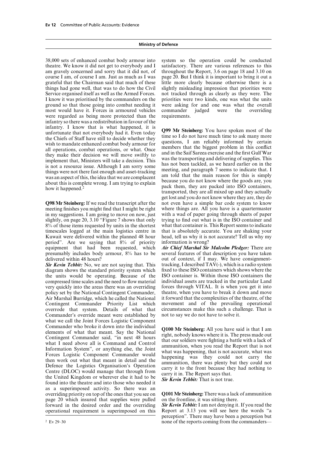theatre. We know it did not get to everybody and I satisfactory. There are various references to this am gravely concerned and sorry that it did not, of throughout the Report, 3.6 on page 18 and 3.10 on most would have it. Forces in armoured vehicles commander judged were the overriding were regarded as being more protected than the requirements. infantry so there was a redistribution in favour of the infantry. I know that is what happened, it is<br>unfortunate that not everybody had it. Even today<br>the Chiefs of Staff have still to decide whether they<br>time so I do not have much time to ask many more<br>the Chiefs of Staff ha

meeting finishes you might find that I might be right where things are. All you have is a quartermaster in my suggestions. I am going to move on now, just with a wad of paper going through sheets of paper in my suggestions. I am going to move on now, just slightly, on page 20, 3.10 "Figure 7 shows that only trying to find out what is in the ISO container and 8% of those items requested by units in the shortest what that container is. This Report seems to indicate timescales logged at the main logistics centre in that is absolutely accurate. You are shaking your Kuwait were delivered within the planned 48 hour head, tell us why it is not accurate? Tell us why my period". Are we saying that  $8\%$  of priority information is wrong?<br>equipment that had been requested, which *Air Chief Marshal Sir* equipment that had been requested, which *Air Chief Marshal Sir Malcolm Pledger*: There are presumably includes body armour, 8% has to be several features of that description you have taken delivered within 48 hours? out of context, if I may. We have consignment-

diagram shows the standard priority system which the units would be operating. Because of the ISO container is. Within those ISO containers the compressed time scales and the need to flow material individual assets are tracked in the particular Land very quickly into the areas there was an overriding forces through VITAL. It is when you get it into policy set by the National Contingent Commander, theatre, when you have to break it down and move Air Marshal Burridge, which he called the National it forward that the complexities of the theatre, of the Contingent Commander Priority List which movement and of the prevailing operational overrode that system. Details of what that circumstances make this such a challenge. That is Commander's override meant were established by not to say we do not have to solve it. Commander's override meant were established by what we call the Joint Forces Logistic Component Commander who broke it down into the individual<br>elements of what that meant. Say the National<br>Contingent Commander said, "in next 48 hours<br>what I need above all is Command and Control<br>that our soldiers were fighting a bat as a superimposed activity. So there was an overriding priority on top of the ones that you see on **Q101 Mr Steinberg:** There was a lack of ammunition page 20 which insured that supplies were pulled forward in the desired order and the overriding *Sir Kevin Tebbit:* I am not denying it. If you read the operational requirement is superimposed on this Report at 3.13 you will see here the words "a

38,000 sets of enhanced combat body armour into system so the operation could be conducted course I am, of course I am. Just as much as I was page 20. But I think it is important to bring it out a grateful that the Chairman said that much of these little more clearly because otherwise there is a things had gone well, that was to do how the Civil slightly misleading impression that priorities were Service organised itself as well as the Armed Forces. not tracked through as clearly as they were. The I know it was prioritised by the commanders on the priorities were two kinds, one was what the units ground so that those going into combat needing it were asking for and one was what the overall

transported, they are all mixed up and they actually get lost and you do not know where they are, they do **Q98 Mr Steinberg:** If we read the transcript after the not even have a simple bar code system to know meeting finishes you might find that I might be right where things are. All you have is a quartermaster

several features of that description you have taken **Sir Kevin Tebbit:** No, we are not saying that. This tracking, I described TAV(-), which is a radio system diagram shows the standard priority system which fixed to these ISO containers which shows where the

perception". There may have been a perception but <sup>2</sup> Ev 29–30 none of the reports coming from the commanders—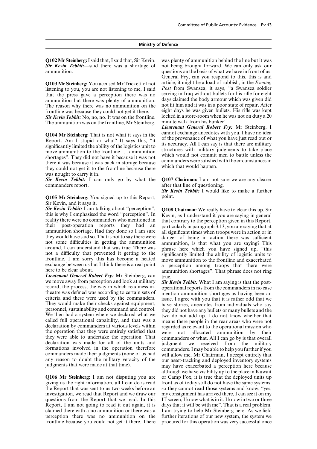**Sir Kevin Tebbit:**—said there was a shortage of not being brought forward. We can only ask our questions on the basis of what we have in front of us.

that the press gave a perception there was no serving in Iraq without bullets for his rifle for eight ammunition but there was plenty of ammunition days claimed the body armour which was given did ammunition but there was plenty of ammunition. The reason why there was no ammunition on the not fit him and it was in a poor state of repair. After

The ammunition was on the frontline, Mr Steinberg.

**Q104 Mr Steinberg:** That is not what it says in the cannot exchange anecdotes with you. I have no idea<br>Report. Am I stupid or what? It says this, "it of the provenance of what you have just read out or<br>significantly limit was nought to carry it in.

**Q105 Mr Steinberg:** You signed up to this Report. Sir Kevin, and it says it.

**Sir Kevin Tebbit:** I am talking about "perception". **Q108 Chairman:** We really have to clear this up. Sir this is why I emphasised the word "perception". In Kevin, as I understand it you are saying in general reality ther they would have said so. That is not to say there were<br>not some difficulties in getting the ammunition ammunition, is that what you are saying? This<br>around, I can understand that was true. There was<br>not a difficulty that p

*Lieutenant General Robert Fry:* Mr Steinberg, can true.<br>we move away from perception and look at military Sir 1 we move away from perception and look at military **Sir Kevin Tebbit:** What I am saying is that the post-<br>record, the process, the way in which readiness in-<br>coror the commanders in no case<br>theatre was defined was accordin

the Report that was sent to us two weeks before an so they cannot read those systems and know; "yes, investigation, we read that Report and we draw our my consignment has arrived there, I can see it on my questions from the Report that we read. In this IT screen, I know what is in it. I know in two or three Report, I am not going to read it out again, it is days that it will be with me". That is a real problem. claimed there with a no ammunition or there was a I am trying to help Mr Steinberg here. As we field perception there was no ammunition on the further iterations of our new system, the system we frontline because you could not get it there. There procured for this operation was very successful once

**Q102 Mr Steinberg:** I said that, I said that, Sir Kevin. was plenty of ammunition behind the line but it was **Sir** Kevin Tebbit:—said there was a shortage of not being brought forward. We can only ask our questions on the basis of what we have in front of us. General Fry, can you respond to this, this is and **Q103 Mr Steinberg:** You accused Mr Trickett of not article, it might be a load of rubbish, in the *Evening* listening to you, you are not listening to me, I said *Post* from Swansea, it says, "a Swansea soldier frontline was because they could not get it there. eight days he was given bullets. His rifle was kept *Sir Kevin Tebbit:* No, no, no. It was on the frontline. locked in a store-room when he was not on duty a 20<br>The ammunition was on the frontline. Mr Steinberg minute walk from his bunker".

*Lieutenant General Robert Fry:* Mr Steinberg, I

**Sir Kevin Tebbit:** I can only go by what the **Q107 Chairman:** I am not sure we are any clearer commanders report. after that line of questioning.

*Sir Kevin Tebbit:* I would like to make a further

exchange between us but I think there is a real point a perception among troops that there were here to be clear about.

although we have visibility up to the place in Kuwait **Q106 Mr Steinberg:** I am not disputing you are or Camp Fox, it is true that the deployed units up giving us the right information, all I can do is read front as of today still do not have the same systems, front as of today still do not have the same systems,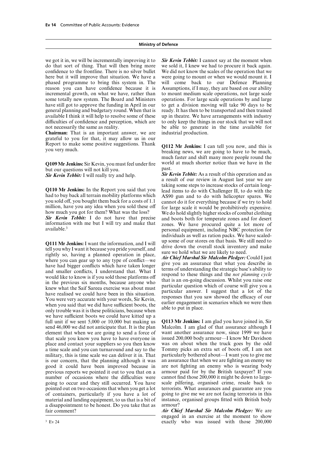confidence to the frontline. There is no silver bullet We did not know the scales of the operation that we here but it will improve that situation. We have a were going to mount or when we would mount it. I phased programme to bring this system in. The will come back to our Defence Planning reason you can have confidence because it is Assumptions, if I may, they are based on our ability incremental growth, on what we have, rather than to mount medium scale operations, not large scale some totally new system. The Board and Ministers operations. For large scale operations by and large have still got to approve the funding in April in our to get a division moving will take 90 days to be general planning and budgetary round. When that is ready. It has then to be transported and then trained available I think it will help to resolve some of these up in theatre. We have arrangements with industry difficulties of confidence and perception, which are to only keep the things in our stock that we will not not necessarily the same as reality. be able to generate in the time available for

**Chairman:** That is an important answer, we are industrial production. grateful to you for that, it may allow us in our Report to make some positive suggestions. Thank **Q112 Mr Jenkins:** I can tell you now, and this is you very much. breaking news, we are going to have to be much,

but our questions will not kill you.<br> **Sir Kevin Tebbit:** As a result of this operation and as<br> **Sir Kevin Tebbit:** As a result of this operation and as

**Q110 Mr Jenkins:** In the Report you said that you lead items to do with Challenger II, to do with the had to buy back all terrain mobility platforms which a S90 gun and to do with helicopter spares. We you sold off, you b

**Q111 Mr Jenkins:** I want the information, and I will up some of our stores on that basis. We still need to tell you why I want it because you pride yourself, and drive down the overall stock inventory and make rightly so only trouble was it is these politicians, because when we have sufficient boots we could have kitted up a full unit if we sent 5,000 or 10,000 but making us **Q113 Mr Jenkins:** I am glad you have joined in, Sir send 46,000 we did not anticipate that. It is the plan Malcolm. I am glad of that assurance although I element that when we are going to send a force of want another assurance now, since 1999 we have that scale you know you have to have everyone in issued 200,000 body armour—I know Mr Davidson that scale you know you have to have everyone in place and contact your suppliers so you then know was on about when the truck goes by the odd a time scale and you can turnaround and say to the Tommy picks an extra set of boots off, I am not military, this is time scale we can deliver it in. That particularly bothered about—I want you to give me is our concern, that the planning although it was an assurance that when we are fighting an enemy we good it could have been improved because in are not fighting an enemy who is wearing body previous reports we pointed it out to you that on a armour paid for by the British taxpayer? If you number of occasions where the difficulties were cannot find those 200,000 it might be down to largegoing to occur and they still occurred. You have scale pilfering, organised crime, resale back to pointed out on two occasions that when you get a lot terrorists. What assurances and guarantee are you of containers, particularly if you have a lot of going to give me we are not facing terrorists in this material and landing equipment, to us that is a bit of a disappointment to be honest. Do you take that as armour? fair comment? *Air Chief Marshal Sir Malcolm Pledger:* We are

we got it in, we will be incrementally improving it to **Sir Kevin Tebbit:** I cannot say at the moment when do that sort of thing. That will then bring more we sold it, I knew we had to procure it back again. we sold it, I knew we had to procure it back again.

much faster and shift many more people round the **Q109 Mr Jenkins:** Sir Kevin, you must feel under fire world at much shorter notice than we have in the

**Sir Kevin Tebbit:** I will really try and help. **Sir Kevin Tebbit:** As a result of this operation and as a result of our review in August last year we are taking some steps to increase stocks of certain long- **Sir Kevin Tebbit:** I do not have that precise and boots both for temperate zones and for desert information with me but I will try and make that zones. We have procured quite a lot more of available.<sup>3</sup> personal equipment individuals as well as ration packs. We have scaled-

engaged in an exercise at the moment to show <sup>3</sup> Ev 24 **Ev 24** Ev 24 **Ev 24** Ev 24 **EV 24** Ev 24 **EV 24** EV 24 **EV 24** EV 24 **EV 24** EV 24 **EV 24** EV 24 **EV 24** EV 24 **EV** 24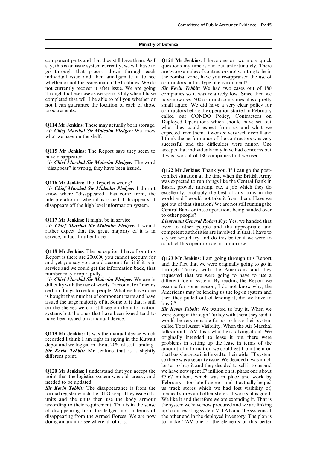say, this is an issue system currently, we will have to questions my time is run out unfortunately. There go through that process down through each are two examples of contractors not wanting to be in individual issue and then amalgamate it to see the combat zone, have you re-appraised the use of whether or not the issues match the holdings. We do contractors in this type of environment? whether or not the issues match the holdings. We do not currently recover it after issue. We are going **Sir Kevin Tebbit:** We had two cases out of 180 through that exercise as we speak. Only when I have companies so it was relatively low. Since then we through that exercise as we speak. Only when I have completed that will I be able to tell you whether or have now used 500 contract companies, it is a pretty not I can guarantee the location of each of those small figure. We did have a very clear policy for

*Air Chief Marshal Sir Malcolm Pledger:* The word

know where "disappeared" has come from, the excellently, probably the best of any army in the interpretation is when it is issued it disappears; it world and I would not take it from them. Have we interpretation is when it is issued it disappears; it world and I would not take it from them. Have we disappears off the high level information system got out of that situation? We are not still running the

**Q118 Mr Jenkins:** The perception I have from this

recorded I think I am right in saying in the Kuwait<br>depot and we logged in about 20% of stuff landing.<br>Figure 1. Durant problems in setting up the lease in terms of the<br>Sir Kevin Tebbit: Mr Jenkins that is a slightly<br>diffe

point that the logistics system was old, creaky and  $\,$  £3.67 million, which was in place and work by

formal register which the DLO keep. They issue it to units and the units then use the body armour We like it and therefore we are extending it. That is according to their requirement. That is in the sense the system we have now procured and we are linking of disappearing from the ledger, not in terms of up to our existing system VITAL and the systems at disappearing from the Armed Forces. We are now the other end in the deployed inventory. The plan is doing an audit to see where all of it is. to make TAV one of the elements of this better

component parts and that they still have them. As I **Q121 Mr Jenkins:** I have one or two more quick

procurements. contractors before the operation started in February called our CONDO Policy, Contractors on Deployed Operations which should have set out **Q114 Mr Jenkins:** These may actually be in storage.<br> **Air Chief Marshal Sir Malcolm Pledger:** We know<br>
what they could expect from us and what we have on the shelf.<br>
I think the performance of the contractors was very successful and the difficulties were minor. One **Q115 Mr Jenkins:** The Report says they seem to accepts that individuals may have had concerns but have disappeared.<br>it was two out of 180 companies that we used. it was two out of 180 companies that we used.

**Q122 Mr Jenkins:** Thank you. If I can go the postconflict situation at the time when the British Army **Q116 Mr Jenkins:** The Report is wrong? was expected to run things like the Central Bank in *Air Chief Marshal Sir Malcolm Pledger*: I do not Basra, provide nursing, etc. a job which they do *Air Chief Marshal Sir Malcolm Pledger:* I do not Basra, provide nursing, etc, a job which they do know where "disappeared" has come from the excellently, probably the best of any army in the disappears off the high level information system. got out of that situation? We are not still running the central Bank or these operations being handed over to other people?

**Q117 Mr Jenkins:** It might be in service.<br> *Lieutenant General Robert Fry:* Yes, we handed that <br> *Air Chief Marshal Sir Malcolm Pledger:* I would over to other people and the appropriate and **Air Chief Marshal Sir Malcolm Pledger:** I would over to other people and the appropriate and rather expect that the great majority of it is in competent authorities are involved in that. I have to service, in fact I rathe conduct this operation again tomorrow.

Report is there are 200,000 you cannot account for<br>
and the fact that we were originally going to go in<br>
service and we could get the information back, that<br>
number may drop rapidly.<br>
number may drop rapidly.<br>
number may

called Total Asset Visibility. When the Air Marshal **Q119 Mr Jenkins:** It was the manual device which talks about TAV this is what he is talking about. We recorded I think I am right in saying in the Kuwait originally intended to lease it but there were that basis because it is linked to their wider IT system so there was a security issue. We decided it was much better to buy it and they decided to sell it to us and **Q120 Mr Jenkins:** I understand that you accept the we have now spent  $\mathcal{E}7$  million on it, phase one about needed to be updated.<br> **Sir Kevin Tebbit:** The disappearance is from the us track stores which we had lost visibility of, **Sir Kevin Tebbit:** The disappearance is from the us track stores which we had lost visibility of, formal register which the DLO keep. They issue it to medical stores and other stores. It works, it is good.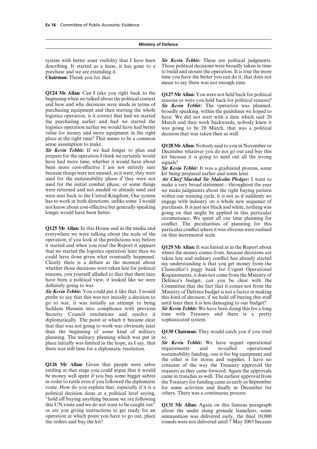describing. It started as a lease, it has gone to a

Q124 Mr Allan: Can I take you right back to the<br>beginning when we talked about the political context<br>and how and why decisions were made in terms of<br>purchasing equipment and then starting the whole<br>logistics operation, is the purchasing earlier and had we started the March and then work backwards, nobody knew it logistics operation earlier we would have had better was going to be 20 March, that was a political value for money and more equipment in the right decision that was taken then as well. place at the right time? That seems to be a common

Survey and the Sir Kevin Tebbit: If we had longer to plan and<br>Sir Kevin Tebbit: If we had longer to plan and<br>pecember whatever you do not go out and buy this<br>prepare for the operation I think we certainly would<br>have about because things were not unused, as it were, they were used for the sustainability phase if they were not *Air Chief Marshal Sir Malcolm Pledger:* I want to used for the initial combat phase, or some things make a very broad statement—throughout the vear were returned and not needed or already used and we make judgments about the right buying pattern were sent back to the United Kingdom. Our system within our training cycle, it is not as if suddenly we has to work in both directions, unlike some. I would engage with industry on a whole new sequence of not know about cost-effective but generally speaking purchases. It is just not black and white, nothing was longer would have been better. going on that might be applied in this particular

operation, if you look at the predictions way before it started and when you read the Report it appears<br>that we started the logistics operation later than we<br>could have done given what eventually happened.<br>Clearly there is a debate at the moment about<br>whether those decisions

*Sir Kevin Tebbit:* You could put it like that. I would Ministry of Defence budget is not a factor in making prefer to say that this was not initially a decision to this kind of decision, if we hold off buying this stuff go to war, it was initially an attempt to bring until later then it is less damaging to our budget? Saddam Hussein into compliance with previous **Sir Kevin Tebbit:** We have been doing this for a long Security Council resolutions and resolve it time with Treasury and there is a pretty diplomatically. The point at which it became clear sophisticated system. that that was not going to work was obviously later<br>than the beginning of some kind of military planning. The military planning which was put in to. place initially was limited in the hope, as I say, that *Sir Kevin Tebbit:* We have urgent operational there was still time for a diplomatic resolution. requirements and so-called operational

rattling at that stage you could argue that it would requests as they came forward. Again the approvals be money well spent if you buy some bigger sabres came in tranches as well. The earliest approval from be money well spent if you buy some bigger sabres came in tranches as well. The earliest approval from in order to rattle even if you followed the diplomatic the Treasury for funding came as early as September route. How do you explain that, especially if it is a for some activities and finally in December for political decision done at a political level saying, others. There was a continuous process. "hold off buying anything because we are following this UN route and we do not want to be caught out" **Q131 Mr Allan:** Again on this famous paragraph or are you giving instructions to get ready for an about the under slung grenade launchers, some operation at which point you have to go out, place ammunition was delivered early, the final 10,000

system with better asset visibility that I have been *Sir Kevin Tebbit:* These are political judgments. describing. It started as a lease, it has gone to a Those political decisions were broadly taken in time purchase and we are extending it. to build and mount the operation. It is true the more **Chairman:** Thank you for that. time you have the better you can do it, that does not mean to say there was not enough time.

make a very broad statement—throughout the vear circumstance. We spent all our time planning for **Q125 Mr Allan:** In this House and in the media and conflict. The peculiarities of planning for this everywhere we were talking about the scale of the on that incremental scale.

reasons, you yourself alluded to that that there may Requirements, it does not come from the Ministry of have been a political view, it looked like we were Defence's budget, can you be clear with the definitely going to wa Committee that the fact that it comes not from the time with Treasury and there is a pretty

# Q130 Chairman: They would catch you if you tried

sustainability funding, one is for big equipment and the other is for stores and supplies. I have no **Q126 Mr Allan:** Given that people were sabre criticism of the way the Treasury approved the the Treasury for funding came as early as September

about the under slung grenade launchers, some the orders and buy the kit? rounds were not delivered until 7 May 2003 because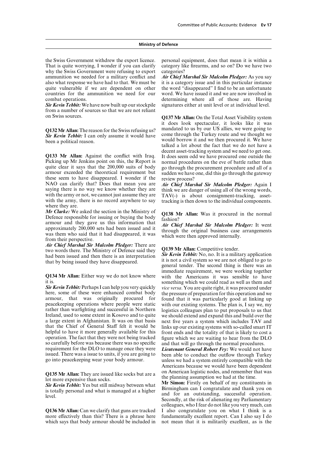That is quite worrying, I wonder if you can clarify category like firearms, and so on? Do we have two why the Swiss Government were refusing to export categories? ammunition we needed for a military conflict and *Air Chief Marshal Sir Malcolm Pledger:* As you say also what response we have had to that. We must be it is a category issue and in this particular instance quite vulnerable if we are dependent on other the word "disappeared" I find to be an unfortunate countries for the ammunition we need for our word. We have issued it and we are now involved in combat operations. determining where all of those are. Having

from a number of sources so that we are not reliant

**Q133 Mr Allan:** Against the conflict with Iraq. It does seem odd we have procured one outside the Picking up Mr Jenkins point on this, the Report is normal procedures on the eve of battle rather than Picking up Mr Jenkins point on this, the Report is normal procedures on the eve of battle rather than quite clear it says that the 200,000 suits of body go through the procurement procedure and all of a armour exceeded the theoretical requirement but sudden we have one, did this go through the gateway these seem to have disappeared. I wonder if the review process?<br>NAO can clarify that? Does that mean you are *Air Chief Mars* NAO can clarify that? Does that mean you are *Air Chief Marshal Sir Malcolm Pledger:* Again I with the army or not, we cannot just assume they are  $TAV(-)$  is about consignment-tracking, asset-<br>with the army, there is no record anywhere to say tracking is then down to the individual components.

where they are.<br>Mr Clarke: We asked the section in the Ministry of *Mr Clarke:* We asked the section in the Ministry of<br>Defence responsible for issuing or buying the body<br>armour and they gave us this information that<br>approximately 200,000 sets had been issued and it<br>was them who said that

*Air Chief Marshal Sir Malcolm Pledger:* There are The Surge state of the Ministry of Defence said they<br>had been issued and then there is an interpretation<br>that by being issued they have disappeared.<br>that by being issued they have disappeared.<br>the second thing is there was

here, some of these were enhanced combat body the pressure of preparation for this operation and we armour, that was originally procured for found that it was particularly good at linking up peacekeeping operations where people were static with our existing systems. The plan is, I say we, my rather than warfighting and successful in Northern logistics colleagues plan to put proposals to us that Ireland, used to some extent in Kosovo and to quite we should extend and expand this and build over the that the Chief of General Staff felt it would be links up our existing systems with so-called smart IT helpful to have it more generally available for this front ends and the totality of that is likely to cost a helpful to have it more generally available for this front ends and the totality of that is likely to cost a operation. The fact that they were not being tracked figure which we are waiting to hear from the DLO operation. The fact that they were not being tracked figure which we are waiting to hear from the DLO<br>so carefully before was because there was no specific and that will go through the normal procedures so carefully before was because there was no specific and that will go through the normal procedures.<br>
requirement for the DLO to manage once they were *Lieutenant General Robert Fry:* We would not be requirement for the DLO to manage once they were *Lieutenant General Robert Fry:* We would not have issued. There was a issue to units, if you are going to been able to conduct the outflow through Turkey issued. There was a issue to units, if you are going to been able to conduct the outflow through Turkey go into peacekeeping wear your body armour.

which says that body armour should be included in not mean that it is militarily excellent, as is the

the Swiss Government withdrew the export licence. personal equipment, does that mean it is within a

it is a category issue and in this particular instance **Sir Kevin Tebbit:** We have now built up our stockpile signatures either at unit level or at individual level.

on Swiss sources. **Q137 Mr Allan:** On the Total Asset Visibility system it does look spectacular, it looks like it was **Q132 Mr Allan:** The reason for the Swiss refusing us? mandated to us by our US allies, we were going to Sir **Kevin** Tehbit: Lean only assume it would have come through the Turkey route and we thought we **Sir Kevin Tebbit:** I can only assume it would have come through the Turkey route and we thought we would borrow it and we then procured it. We have then a political reason. decent asset-tracking system and we need to get one. go through the procurement procedure and all of a

> think we are danger of using all of the wrong words, tracking is then down to the individual components.

immediate requirement, we were working together **Q134 Mr Allan:** Either way we do not know where with the Americans it was sensible to have it is. something which we could read as well as them and *Sir Kevin Tebbit:* Perhaps I can help you very quickly *vice versa*. You are quite right, it was procured under logistics colleagues plan to put proposals to us that next five years a system which includes TAV and

> unless we had a system entirely compatible with the Americans because we would have been dependent

**Q135 Mr Allan:** They are issued like socks but are a<br>lot more expensive than socks.<br>**Sir Kevin Tebbit:** Yes but still midway between what<br>**Sir Kevin Tebbit:** Yes but still midway between what<br>is totally personal and what colleagues, who I fear do not like you very much, can **Q136 Mr Allan:** Can we clarify that guns are tracked I also congratulate you on what I think is a more effectively than this? There is a phrase here fundamentally excellent report. Can I also say I do fundamentally excellent report. Can I also say I do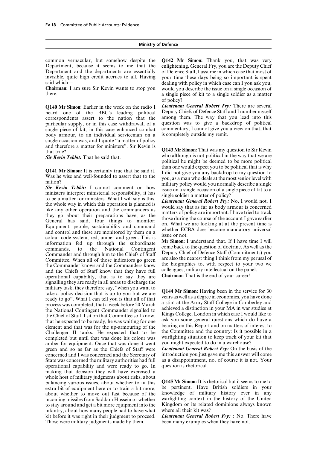Department, because it seems to me that the Department and the departments are essentially of Defence Staff, I assume in which case that most of invisible, quite high credit accrues to all. Having your time these days being so important is spent

heard one of the BBC's leading political correspondents assert to the nation that the among them. The way that you lead into this particular supply, or in this case withdrawal, of a question was to give a backdrop of political single piece of kit, in this case enhanced combat commentary, I cannot give you a view on that, that body armour, to an individual serviceman on a is completely outside my remit. body armour, to an individual serviceman on a single occasion was, and I quote "a matter of policy and therefore a matter for ministers". Sir Kevin is that true?<br> **Q143 Mr Simon:** That was my question to Sir Kevin that true?

**Q141 Mr Simon:** It is certainly true that he said it. It als none would expect you to be political that is why Was he wise and well-founded to assert that to the you, as a man who deals at the most serior to my question Commander and through him to the Chiefs of Staff Deputy Chief of Defence Staff (Commitments) you<br>Committee. When all of those indicators go green are also the nearest thing I think from my perusal of the Commander knows and the Commanders know<br>and the Commander knows and the Commanders know<br>and the Chiefs of Staff know that they have full colleagues, military intellectual on the panel. and the Chiefs of Staff know that they have full colleagues, military intellectual on the panel.<br> **Chairman:** That is the end of your career! operational capability, that is to say they are signalling they are ready in all areas to discharge the military task, they therefore say, "when you want to<br>take a policy decision that is up to you but we are<br>ready to go". What I can tell you is that all of that<br>process was completed, that a week before 20 March<br>the National element and that was for the up-armouring of the the countries of interest to<br>Challenger II tanks. He expected that to be the Committee and the country: Is it possible in a<br>completed but until that was done his colour was completed but until that was done his colour was warfighting situation to keep track of your<br>amber for equipment. Once that was done it went vou might expected to do in a warehouse? amber for equipment. Once that was done it went you might expected to do in a warehouse?<br>green and so as far as the Chiefs of Staff were *Lieutenant General Robert Fry*: On the basis of the green and so as far as the Chiefs of Staff were *Lieutenant General Robert Fry:* On the basis of the concerned and I was concerned and the Secretary of introduction you just gave me this answer will come concerned and I was concerned and the Secretary of State was concerned the military authorities had full as a disappointment, no, of course it is not. Your operational capability and were ready to go. In question is rhetorical. making that decision they will have exercised a whole host of military judgments about risks, about balancing various issues, about whether to fit this **Q145 Mr Simon:** It is rhetorical but it seems to me to extra bit of equipment here or to train a bit more, be pertinent. Have British soldiers in your about whether to move out fast because of the knowledge of military history ever in any about whether to move out fast because of the knowledge of military history ever in any incoming missiles from Saddam Hussein or whether warfighting context in the history of the United incoming missiles from Saddam Hussein or whether to stay around and get a bit more equipment into the Kingdom or its related dominions always known infantry, about how many people had to have what where all their kit was? infantry, about how many people had to have what kit before it was right in their judgment to proceed. *Lieutenant General Robert Fry:* : No. There have Those were military judgments made by them. been many examples when they have not. Those were military judgments made by them.

common vernacular, but somehow despite the **Q142 Mr Simon:** Thank you, that was very said which— dealing with policy in which case can I you ask you, **Chairman:** I am sure Sir Kevin wants to stop you would you describe the issue on a single occasion of there. a single piece of kit to a single soldier as a matter of policy?

**Q140 Mr Simon:** Earlier in the week on the radio I *Lieutenant General Robert Fry:* There are several heard one of the BBC's leading political Deputy Chiefs of Defence Staff and I number myself

who although is not political in the way that we are *Sir Kevin Tebbit:* That he said that. political he might be deemed to be more political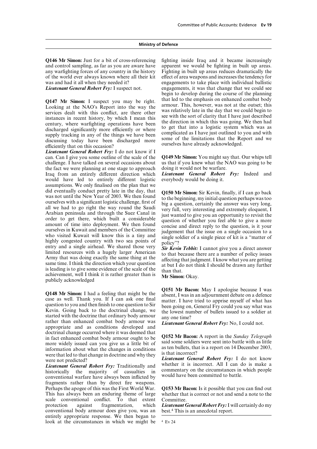**Q146 Mr Simon:** Just for a bit of cross-referencing fighting inside Iraq and it became increasingly and control sampling, as far as you are aware have apparent we would be fighting in built up areas. and control sampling, as far as you are aware have any warfighting forces of any country in the history Fighting in built up areas reduces dramatically the of the world ever always known where all their kit effect of area weapons and increases the tendency for was and had it all when they needed it? engagements to take place with individual ballistic

**Q147 Mr Simon:** I suspect you may be right. that led to the emphasis on enhanced combat body Looking at the NAO's Report into the way the armour. This, however, was not at the outset; this services dealt with this conflic

*Lieutenant General Robert Fry:* I do not know if I can. Can I give you some outline of the scale of the **Q149 Mr Simon:** You might say that. Our whips tell challenge. I have talked on several occasions about us that if you knew what the N<br>the fact we were planning at one stage to approach doing it would not be warfare. the fact we were planning at one stage to approach doing it would not be warfare.<br>Iraq from an entirely different direction which *Lieutenant General Robert Fry*: Indeed and Iraq from an entirely different direction which *Lieutenant General Robert* would have led to entirely different logistic everybody would be doing it. would have led to entirely different logistic assumptions. We only finalised on the plan that we did eventually conduct pretty late in the day, that<br> **Q150 Mr Simon:** Sir Kevin, finally, if I can go back<br>
was not until the New Year of 2003. We then found<br>
to the beginning, my initial question perhaps was too<br>
ourselv achievement, well I think it is rather greater than is **Mr Simon:** Okay. publicly acknowledged

started with the doctrine that ordinary body armour<br>rather than enhanced combat body armour was *Lieutenant General Robert Fry:* No, I could not.<br>appropriate and as conditions developed and doctrinal change occurred where it was deemed that<br>in fact enhanced combat body armour ought to be<br>more widely issued an you give us a little bit of said some soldiers were sent into battle with as little more widely issued can you give us a little bit of said some soldiers were sent into battle with as little<br>information about what the changes in conditions as ten bullets, that is a report on 14 December 2003, information about what the changes in conditions  $\frac{a}{b}$  as ten bullets, the worse that located to that abong in decring and why they is that incorrect? were that led to that change in doctrine and why they

*Lieutenant General Robert Fry:* Traditionally and whether it is incorrect. All I can do is make a historically the majority of casualties in commentary on the circumstances in which people conventional warfare have always fragments rather than by direct fire weapons. Perhaps the apogee of this was the First World War. **Q153 Mr Bacon:** Is it possible that you can find out This has always been an enduring theme of large scale conventional conflict. To that extent Committee. protection against fragmentation, which *Lieutenant General Robert Fry:* I will certainly do my conventional body armour does give you, was an best.<sup>4</sup> This is an anecdotal report. conventional body armour does give you, was an entirely appropriate response. We then began to look at the circumstances in which we might be  $4 \text{ Ev } 24$ 

*Lieutenant General Robert Fry:* I suspect not. engagements, it was that change that we could see begin to develop during the course of the planning

**Q148 Mr Simon:** I had a feeling that might be the<br>case as well. Thank you. If I can ask one final<br>question to you and then finish to one question to Sir<br>kevin. Going back to the doctrinal change, we<br>started with the doctr

were not predicted? *Lieutenant General Robert Fry:* I do not know<br>*Lieutenant General Robert Fry:* Traditionally and whether it is incorrect. All I can do is make a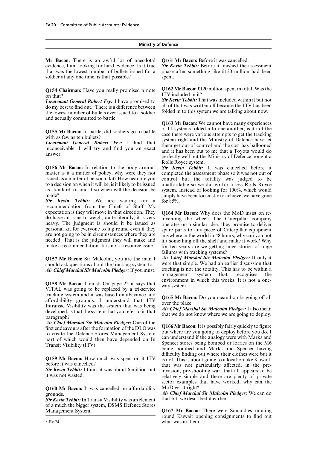**Mr Bacon:** There is an awful lot of anecdotal **Q161 Mr Bacon:** Before it was cancelled. evidence, I am looking for hard evidence. Is it true *Sir Kevin Tebbit:* Before it finished the assessment that was the lowest number of bullets issued for a phase after something like £120 million had been soldier at any one time, is that possible? spent.

the lowest number of bullets ever issued to a soldier and actually committed to battle.

**Q156 Mr Bacon:** In relation to the body armour *Sir Kevin Tebbit:* It was cancelled before it matter is it a matter of policy, why were they not completed the assessment phase so it was not out of issued as a matter of personal kit? How near are you control but the totality was judged to be to a decision on when it will be, is it likely to be issued unaffordable so we did go for a less Rolls Rovee to a decision on when it will be, is it likely to be issued unaffordable so we did go for a less Rolls Royce as standard kit and if so when will the decision be system. Instead of looking for 100%, which would made? simply have been too costly to achieve, we have gone

*Sir Kevin Tebbit:* We are waiting for a for 85%. recommendation from the Chiefs of Staff. My

should ask questions about the tracking system to. We had an earlier discussion that simple. We had an earlier discussion that  $\Delta$  is  $\Delta t$  of the totality. This has to be within a

tracking system and it was based on abeyance and **Q165 Mr Bacon:** Do you mean bombs going off all affordability grounds. I understand that ITV such the place! Intransic Visibility was the system that was being<br>developed, is that the system that you refer to in that<br>paragraph?<br>and the system that you refer to in that<br>that we do not know where we are going to deploy.

**Air Chief Marshal Sir Malcolm Pledger:** One of the<br>first endeavours after the formation of the DLO was<br>to create the Defence Stores Management System<br>part of which would then have depended on In<br>Transit Visibility (ITV).<br>

**Q160 Mr Bacon:** It was cancelled on affordability MoD get it right?<br>grounds. Air Chief Marshal

**Sir Kevin Tebbit:** In Transit Visibility was an element of a much the bigger system, DSMS Defence Stores Management System. **Q167 Mr Bacon:** There were Squaddies running

phase after something like  $£120$  million had been

**Q154 Chairman:** Have you really promised a note **Q162 Mr Bacon:** £120 million spent in total. Was the ITV included in it?<br>**Sir Kevin Tebbit:** That was included within it but not

*Lieutenant General Robert Fry:* I have promised to *Sir Kevin Tebbit:* That was included within it but not do my best to find out.<sup>5</sup> There is a difference between all of that was written off because the ITV has been the

**Q163 Mr Bacon:** We cannot have many experiences **Q155 Mr Bacon:** In battle, did soldiers go to battle of IT systems folded into one another, is it not the case there were various attempts to get the tracking with as few as ten bullets?<br> **Lieutenant General Robert Fry:** Rolls Royce system.

> completed the assessment phase so it was not out of system. Instead of looking for 100%, which would

expectation is they will move in that direction. They<br>do have an issue to weigh, quite literally, it is very<br>heavy. The judgment is should it be issued as<br>perates on a similar idea, they promise to deliver<br>personal kit for failures with tracking systems?

**Q157 Mr Bacon:** Sir Malcolm, you are the man I *Air Chief Marshal Sir Malcolm Pledger:* If only it should ask questions about the tracking system to were that simple. We had an earlier discussion that *Air Chief Marshal Sir Malcolm Pledger:*If you must. tracking is not the totality. This has to be within a management system **Q158 Mr Bacon:** I must. On page 22 it says that environment in which this works. It is not a one-<br>VITAL was going to be replaced by a tri-service

**Q159 Mr Bacon:** How much was spent on it ITV difficulty finding out where their clothes were but it before it was cancelled?<br> **Sir Kevin Tebbit:** I think it was about 6 million but invasion, pre-shooting war, that all app sector examples that have worked, why can the

Air Chief Marshal Sir Malcolm Pledger: We can do that bit, we described it earlier.

round Kuwait opening consignments to find out  $5 EV 24$  what was in them.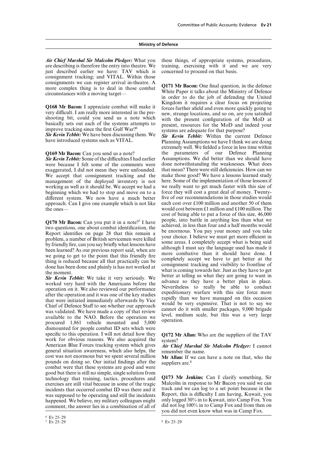*Air Chief Marshal Sir Malcolm Pledger:* What you these things, of appropriate systems, procedures, just described earlier we have: TAV which is concerned to proceed on that basis. consignment tracking; and VITAL. Within those consignments we can register arrival in-theatre. A<br>more complex thing is to deal in those combat<br>circumstances with a moving target—<br>in order to do the job of defending the United

were because I felt some of the comments were done notwithstanding the weaknesses. What does exaggerated, I did not mean they were unfounded, that mean? There were still deficiencies. How can we exaggerated, I did not mean they were unfounded. that mean? There were still deficiencies. How can we<br>We accept that consignment tracking and the make those good? We have a lessons learned study We accept that consignment tracking and the make those good? We have a lessons learned study management of the deploved inventory is not here. Some of the implementation of those lessons if management of the deployed inventory is not working as well as it should be. We accept we had a we really want to get much faster with this size of beginning which we had to stop and move on to a force they will cost a great deal of money. Twentybeginning which we had to stop and move on to a force they will cost a great deal of money. Twenty-<br>different system. We now have a much better five of our recommendations in those studies would different system. We now have a much better approach. Can I give one example which is not like each cost over £100 million and another 50 of them the ones— would cost between £1 million and £100 million. The

dismounted for people combat ID sets which were specific to this operation. I will not detail how they **Q172 Mr Allan:** Who are the suppliers of the TAV work for obvious reasons. We also acquired the system?<br>American Blue Forces tracking system which gives *Air Chief Ma* general situation awareness, which also helps, the cost was not enormous but we spent several million cost was not enormous but we spent several million **Mr Allan:** If we can have a note on that, who the pounds on doing so. Our initial findings after the suppliers are.<sup>8</sup> combat were that these systems are good and were good but there is still no simple, single solution from **COLLET COLLET THE COLLET COLLET STATE COLLET SET COLLET STATE SET OF STATE SET EXAMPLE STATE STATE STATE STATE STATE STATE STATE STATE STATE STATE STATE STATE STATE STATE STATE STATE STATE STATE STATE STATE STATE STATE ST** exercises are still vital because in some of the tragic Malcolm in response to Mr Bacon you said we can<br>incidents that occurred combat ID was there and it track and we can log to a set point because in the incidents that occurred combat ID was there and it was supposed to be operating and still the incidents Report, this is difficulty I am having, Kuwait, you happened. We believe, my military colleagues might only logged  $30\%$  in to Kuwait, into Camp Fox. You comment, the answer lies in a combination of all of did not log 100% in to Camp Fox and from then on

training, exercising with it and we are very

**Q168 Mr Bacon:** I appreciate combat will make it<br>very difficult. I am really more interested in the pre-<br>shooting bit, could you send us a note which<br>basically sets out each of the systems attempts to<br>improve tracking si

**Sir Kevin Tebbit:** We have been discussing them. We **Sir Kevin Tebbit:** Within the current Defence have introduced systems such as VITAL. Planning Assumptions we have I think we are doing extremely well. We fielded a force in less time within **Q169 Mr Bacon:** Can you send us a note? the parameters of our Defence Planning Sir Kevin Tebbit: Some of the difficulties I had earlier Assumptions. We did better than we should have Assumptions. We did better than we should have done notwithstanding the weaknesses. What does cost of being able to put a force of this size, 46,000 Q170 Mr Bacon: Can you put it in a note?<sup>7</sup> I have people, into battle in anything less than what we<br>two questions, one about combat identification, the achieved, in less than four and a half months would<br>Report identifie

you did not even know what was in Camp Fox.

 $8$  Ev 25–29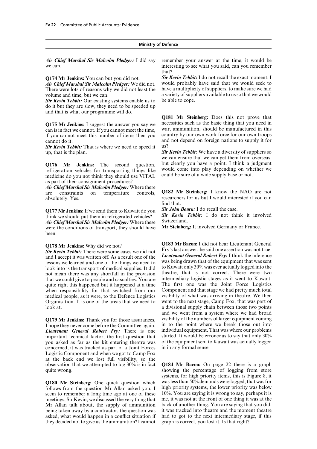There were lots of reasons why we did not least the volume and time, but we can. a variety of suppliers available to us so that we would

*Sir Kevin Tebbit:* Our existing systems enable us to be able to cope. do it but they are slow, they need to be speeded up and that is what our programme will do.

cannot do it. and not depend on foreign nations to supply it for

**Sir Kevin Tebbit:** That is where we need to speed it us?<br>up, that is the plan. Sir

refrigeration vehicles for transporting things like would come into play depending on when<br>medicine do you not think they should use  $VITAI$  could be sure of a wide supply base or not. medicine do you not think they should use VITAL as part of their consignment procedures?

*Air Chief Marshal Sir Malcolm Pledger:* Where there are constraints on temperature controls, **Q182 Mr Steinberg:** I know the NAO are not

**Q177 Mr Jenkins:** If we send them to Kuwait do you *Sir John Bourn:* I do recall the case.<br>
think we should put them in refrigerated vehicles? *Sir Kevin Tebbit:* I do not think it involved *Air Chief Marshal Sir Malcolm* 

*Air Chief Marshal Sir Malcolm Pledger:* Where these Switzerland. were the conditions of transport, they should have been.

and I accept it was written off. As a result one of the *Lieutenant General Robert Fry:* I think the inference lessons we learned and one of the things we need to was being drawn that of the equipment that was sent lessons we learned and one of the things we need to was being drawn that of the equipment that was sent look into is the transport of medical supplies. It did to Kuwait only 30% was ever actually logged into the not mean t not mean there was any shortfall in the provision theatre, that is not correct. There were two<br>that we could give to people and casualties You are intermediary logistic stages as it went to Kuwait. that we could give to people and casualties. You are intermediary logistic stages as it went to Kuwait.<br>quite right this happened but it happened at a time. The first one was the Joint Force Logistics quite right this happened but it happened at a time The first one was the Joint Force Logistics<br>when responsibility for that switched from our Component and that stage we had pretty much total when responsibility for that switched from our medical people, as it were, to the Defence Logistics visibility of what was arriving in theatre. We then Organisation. It is one of the areas that we need to went to the next stage, Camp Fox, that was part of look at. a divisional supply chain between those two points

I hope they never come before the Committee again. in to the point where we break those out into  $I$  *ieutenant* General Robert  $F_{\text{TV}}$ . There is one individual equipment. That was where our problems *Lieutenant General Robert Fry:* There is one individual equipment. That was where our problems important technical factor, the first question that started. It would be erroneous to say that only 30% important technical factor, the first question that you asked as far as the kit entering theatre was of the equipment sent to Kuwait was actually logged concerned, it was tracked as part of a Joint Forces Logistic Component and when we got to Camp Fox at the back end we lost full visibility, so the observation that we attempted to log 30% is in fact **Q184 Mr Bacon:** On page 22 there is a graph

follows from the question Mr Allan asked you, I seem to remember a long time ago at one of these 10%. You are saying it is wrong to say, perhaps it is meetings. Sir Kevin, we discussed the very thing that me, it was not at the front of one thing it was at the meetings, Sir Kevin, we discussed the very thing that Mr Allan talk about, the supply of ammunition back of another thing. You are saying that you did, being taken away by a contractor, the question was it was tracked into the atre and the moment the atre being taken away by a contractor, the question was asked, what would happen in a conflict situation if had to got to the next intermediary stage, if this they decided not to give us the ammunition? I cannot graph is correct, you lost it. Is that right?

*Air Chief Marshal Sir Malcolm Pledger:* I did say remember your answer at the time, it would be we can. interesting to see what you said, can you remember that?

**Q174 Mr Jenkins:** You can but you did not. **Sir Kevin Tebbit:** I do not recall the exact moment. I **Air Chief Marshal Sir Malcolm Pledger**: We did not would probably have said that we would seek to *Air Chief Marshal Sir Malcolm Pledger:* We did not. would probably have said that we would seek to There were lots of reasons why we did not least the have a multiplicity of suppliers, to make sure we had

**Q181 Mr Steinberg:** Does this not prove that necessities such as the basic thing that you need in **Q175 Mr Jenkins:** I suggest the answer you say we necessities such as the basic thing that you need in can is in fact we cannot. If you cannot meet the time, war, ammunition, should be manufactured in this if you cannot m

**Sir Kevin Tebbit:** We have a diversity of suppliers so we can ensure that we can get them from overseas, **Q176 Mr Jenkins:** The second question, but clearly you have a point. I think a judgment refrigeration vehicles for transporting things like would come into play depending on whether we

absolutely. Yes. The researchers for us but I would interested if you can find that.

**Q178 Mr Jenkins:** Why did we not? **Q183 Mr Bacon:** I did not hear Lieutenant General **Sir Kevin Tebbit:** There were some cases we did not Fry's last answer, he said one assertion was not true.<br>and Laccept it was written off. As a result one of the *Lieutenant General Robert Fry*: I think the inference and we went from a system where we had broad **Q179 Mr Jenkins:** Thank you for those assurances, visibility of the numbers of larger equipment coming I hone they never come before the Committee again in to the point where we break those out into

quite wrong. systems, for high priority items, this is Figure 8, it **Q180 Mr Steinberg:** One quick question which was less than 50% demands were logged, that was for follows from the question Mr Allan asked you. I high priority systems, the lower priority was below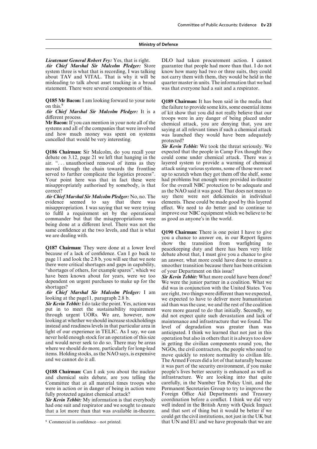*Air Chief Marshal Sir Malcolm Pledger:* Store guarantee that people had more than that. I do not system three is what that is recording, I was talking about TAV and VITAL. That is why it will be not carry them with them, they would be held in the misleading to talk about asset tracking in a broad quarter master in units. The information that we had statement. There were several components of this. was that everyone had a suit and a respirator.

**Q185 Mr Bacon:** I am looking forward to your note **Q189 Chairman:** It has been said in the media that

**Q186 Chairman:** Sir Malcolm, do you recall your expected that the people in Camp Fox thought they debate on 3.12, page 21 we left that hanging in the could come under chemical attack. There was a air. ". . . unauthorised removal of items as they layered system to provide a warning of chemical moved through the chain towards the frontline attack using various systems, some of those were not served to further complicate the logistics process". up to scratch when they got them off the shelf, some Your point here was that in fact these were had problems but enough were provided in-theatre misappropriately authorised by somebody, is that for the overall NBC protection to be adequate and

evidence seemed to say that there was misappropriation. I was saying that we were trying effect. We need to do better and to continue to to fulfil a requirement set by the operational improve our NBC equipment which we believe to be to fulfil a requirement set by the operational improve our NBC equipment which commander but that the misappropriations were as good as anyone's in the world. commander but that the misappropriations were being done at a different level. There was not the same confidence at the two levels, and that is what **Q190 Chairman:** There is one point I have to give we are dealing with. <br>you a chance to answer on, in our Report figures

Q187 Chairman: They were done at a lower level peacekeeping duty and there has been very little because of a lack of confidence. Can I go back to debate about that, I must give you a chance to give page 11 and look the 2.8 there were critical shortages and gaps in capability, smoother transition because there has been criticism "shortages of others, for example spares", which we of your Department on this issue?<br>have been known about for years, were we too *Sir Kevin Tebbit:* What more could have been done?<br>dependent on urgent purchases to make

*Sir Kevin Tebbit:* I do take the point. Yes, action was aid than was the case, we and the rest of the coalition put in to meet the sustainability requirement were more geared to do that initially. Secondly, we put in to meet the sustainability requirement were more geared to do that initially. Secondly, we through urgent UORs. We are, however, now did not expect quite such devastation and lack of looking at whether we should inc

**Q188 Chairman:** Can I ask you about the nuclear people's lives better security is enhanced as well as and chemical suits debate, are you telling the infrastructure. We are looking into that quite and chemical suits debate, are you telling the Committee that at all material times troops who carefully, in the Number Ten Policy Unit, and the were in action or in danger of being in action were Permanent Secretaries Group to try to improve the

had one suit and respirator and we sought to ensure well indeed in the British Army with Quick Impact that a lot more than that was available in-theatre. and that sort of thing but it would be better if we that a lot more than that was available in-theatre.

*Lieutenant General Robert Fry: Yes, that is right.* DLO had taken procurement action. I cannot *Air Chief Marshal Sir Malcolm Pledger: Store* guarantee that people had more than that. I do not

on this.<sup>9</sup> the failure to provide some kits, some essential items<br>**Air Chief Marshal Sir Malcolm Pledger:** It is a conditional provide some kits, some essential items *Air Chief Marshal Sir Malcolm Pledger:* It is a of kit show that you did not really believe that our different process. troops were in any danger of being placed under Mr Bacon: If you can mention in your note all of the Mr Bacon: If you can mention in your note all of the chemical attack, you are denying that, you are systems and all of the companies that were involved saying at all relevant times if such a chemical attack and how much mo

*Sir Kevin Tebbit:* We took the threat seriously. We could come under chemical attack. There was a correct?<br>
as the NAO said it was good. That does not mean to<br> **Air Chief Marshal Sir Malcolm Pledger:** No. no. The say there were not deficiencies in individual *Air Chief Marshal Sir Malcolm Pledger:* No, no. The say there were not deficiencies in individual evidence seemed to say that there was elements. These could be made good by this lavered

show the transition from warfighting to

shortages? did was in conjunction with the United States. You *Air Chief Marshal Sir Malcolm Pledger:* I am are right, two things were different than we expected, looking at the page11, paragraph 2.8 b. we expected to have to deliver more humanitarian **Sir Kevin Tebbit:** I do take th instead and readiness levels in that particular area in<br>
light of our experience in TELIC. As I say, we can<br>
light of our experience in TELIC. As I say, we can<br>
mever hold enough stock for an operation of this size<br>
and wo it was part of the security environment, if you make fully protected against chemical attack? Foreign Office Aid Departments and Treasury<br> **Sir Kevin Tebbit:** My information is that everybody coordination before a conflict. I think we did very **Sir Kevin Tebbit:** My information is that everybody coordination before a conflict. I think we did very had one suit and respirator and we sought to ensure well indeed in the British Army with Quick Impact could get the civil institutions, not just in the UK but <sup>9</sup> Commercial in confidence—not printed. **1.4 Commercial in confidence**—not printed. **1.9 Commercial in confidence**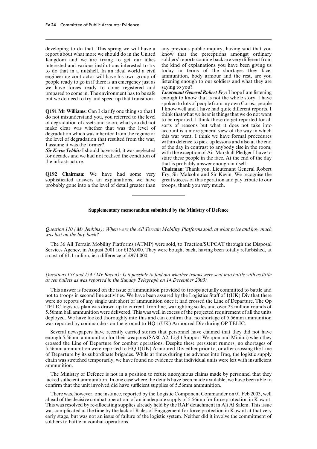developing to do that. This spring we will have a any previous public inquiry, having said that you report about what more we should do in the United know that the perceptions amongst ordinary Kingdom and we are trying to get our allies soldiers' reports coming back are very different from interested and various institutions interested to try the kind of explanations you have been giving us engineering contractor will have his own group of ammunition, body armour and the rest, are you people ready to go in if there is an emergency just as listening enough to our soldiers and what they are people ready to go in if there is an emergency just as listening enough we have forces ready to come registered and saying to you? we have forces ready to come registered and saying to you?<br>prepared to come in The environment has to be safe *Lieutenant General Robert Fry:* I hope I am listening prepared to come in. The environment has to be safe *Lieutenant General Robert Fry:* I hope I am listening but we do need to try and speed up that transition.

probably gone into a the level of detail greater than troops, thank you very much.

to do that in a nutshell. In an ideal world a civil today in terms of the shortages they face, engineering contractor will have his own group of ammunition, body armour and the rest, are you

spoken to lots of people from my own Corps., people **Q191 Mr Williams:** Can I clarify one thing so that I<br>do not misunderstand you, you referred to the level<br>of degradation of assets and so on, what you did not<br>of degradation of assets and so on, what you did not<br>make clea

**Chairman:** Thank you, Lieutenant General Robert **Q192 Chairman:** We have had some very Fry, Sir Malcolm and Sir Kevin. We recognise the sophisticated answers an explanations, we have great success of this operation and pay tribute to our great success of this operation and pay tribute to our

# **Supplementary memorandum submitted by the Ministry of Defence**

*Question 110 (Mr Jenkins): When were the All Terrain Mobility Platforms sold, at what price and how much was lost on the buy-back?*

The 36 All Terrain Mobility Platforms (ATMP) were sold, to Traction/SUPCAT through the Disposal Services Agency, in August 2001 for £126,000. They were bought back, having been totally refurbished, at a cost of £1.1 milion, ie a difference of £974,000.

# *Questions 153 and 154 (Mr Bacon): Is it possible to find out whether troops were sent into battle with as little as ten bullets as was reported in the Sunday Telegraph on 14 December 2003?*

This answer is focussed on the issue of ammunition provided to troops actually committed to battle and not to troops in second line activities. We have been assured by the Logistics Staff of  $1(UK)$  Div that there were no reports of any single unit short of ammunition once it had crossed the Line of Departure. The Op TELIC logistics plan was drawn up to current, frontline, warfighting scales and over 23 million rounds of 5.56mm ball ammunition were delivered. This was well in excess of the projected requirement of all the units deployed. We have looked thoroughly into this and can confirm that no shortage of 5.56mm ammunition was reported by commanders on the ground to HQ 1(UK) Armoured Div during OP TELIC.

Several newspapers have recently carried stories that personnel have claimed that they did not have enough 5.56mm ammunition for their weapons (SA80 A2, Light Support Weapon and Minimi) when they crossed the Line of Departure for combat operations. Despite these persistent rumors, no shortages of 5.56mm ammunition were reported to HQ 1(UK) Armoured Div either prior to, or after crossing the Line of Departure by its subordinate brigades. While at times during the advance into Iraq, the logistic supply chain was stretched temporarily, we have found no evidence that individual units were left with insufficient ammunition.

The Ministry of Defence is not in a position to refute anonymous claims made by personnel that they lacked sufficient ammunition. In one case where the details have been made available, we have been able to confirm that the unit involved did have sufficient supplies of 5.56mm ammunition.

There was, however, one instance, reported by the Logistic Component Commander on 01 Feb 2003, well ahead of the decisive combat operation, of an inadequate supply of 5.56mm for force protection in Kuwait. This was resolved by re-allocating supplies already held by the RAF detachment in Ali Al Salem. This issue was complicated at the time by the lack of Rules of Engagement for force protection in Kuwait at that very early stage, but was not an issue of failure of the logistic system. Neither did it involve the commitment of soldiers to battle in combat operations.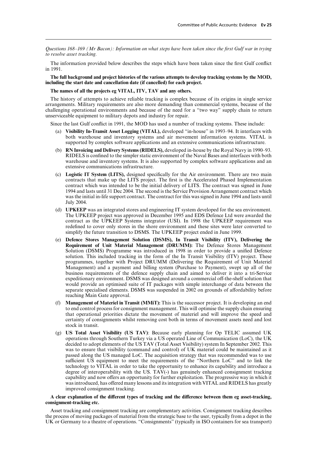*Questions 168–169 (Mr Bacon): Information on what steps have been taken since the first Gulf war in trying to resolve asset tracking.*

The information provided below describes the steps which have been taken since the first Gulf conflict in 1991.

**The full background and project histories of the various attempts to develop tracking systems by the MOD, including the start date and cancellation date (if cancelled) for each project.**

**The names of all the projects eg VITAL, ITV, TAV and any others.**

The history of attempts to achieve reliable tracking is complex because of its origins in single service arrangements. Military requirements are also more demanding than commercial systems, because of the challenging operational environments and because of the need for a "two way" supply chain to return unserviceable equipment to military depots and industry for repair.

Since the last Gulf conflict in 1991, the MOD has used a number of tracking systems. These include:

- (a) **Visibility In-Transit Asset Logging (VITAL),** developed "in-house" in 1993–94. It interfaces with both warehouse and inventory systems and air movement information systems. VITAL is supported by complex software applications and an extensive communications infrastructure.
- (b) **RN Invoicing and Delivery Systems (RIDELS),** developed in-house by the Royal Navy in 1990–93. RIDELS is confined to the simpler static environment of the Naval Bases and interfaces with both warehouse and inventory systems. It is also supported by complex software applications and an extensive communications infrastructure.
- (c) **Logistic IT System (LITS),** designed specifically for the Air environment. There are two main contracts that make up the LITS project. The first is the Accelerated Phased Implementation contract which was intended to be the initial delivery of LITS. The contract was signed in June 1994 and lasts until 31 Dec 2004. The second is the Service Provision Arrangement contract which was the initial in-life support contract. The contract for this was signed in June 1994 and lasts until July 2004.
- (d) **UPKEEP** was an integrated stores and engineering IT system developed for the sea environment. The UPKEEP project was approved in December 1995 and EDS Defence Ltd were awarded the contract as the UPKEEP Systems integrator (USI). In 1998 the UPKEEP requirement was redefined to cover only stores in the shore environment and these sites were later converted to simplify the future transition to DSMS. The UPKEEP project ended in June 1999.
- (e) **Defence Stores Management Solution (DSMS), In Transit Visibility (ITV), Delivering the Requirement of Unit Material Management (DRUMM):** The Defence Stores Management Solution (DSMS) Programme was introduced in 1998 in order to provide a unified Defence solution. This included tracking in the form of the In Transit Visibility (ITV) project. These programmes, together with Project DRUMM (Delivering the Requirement of Unit Materiel Management) and a payment and billing system (Purchase to Payment), swept up all of the business requirements of the defence supply chain and aimed to deliver it into a tri-Service expeditionary environment. DSMS was designed around a commercial off-the-shelf solution that would provide an optimised suite of IT packages with simple interchange of data between the separate specialised elements. DSMS was suspended in 2002 on grounds of affordability before reaching Main Gate approval.
- (f) **Management of Materiel in Transit (MMiT):** This is the successor project. It is developing an end to end control process for consignment management. This will optimise the supply chain ensuring that operational priorities dictate the movement of materiel and will improve the speed and certainty of consignments whilst removing cost both in terms of movement assets need and lost stock in transit.
- (g) **US Total Asset Visibility (US TAV)**: Because early planning for Op TELIC assumed UK operations through Southern Turkey via a US operated Line of Communication (LoC), the UK decided to adopt elements of the US TAV (Total Asset Visibility) system In September 2002. This was to ensure that visibility (command and control) of UK materiel could be maintained as it passed along the US managed LoC. The acquisition strategy that was recommended was to use sufficient US equipment to meet the requirements of the "Northern LoC" and to link the technology to VITAL in order to take the opportunity to enhance its capability and introduce a degree of interoperability with the US. TAV(-) has genuinely enhanced consignment tracking capability and now offers an opportunity for further exploitation. The progressive way in which it was introduced, has offered many lessons and its integration with VITAL and RIDELS has greatly improved consignment tracking.

# A clear explanation of the different types of tracking and the difference between them eg asset-tracking, **consignment-tracking etc.**

Asset tracking and consignment tracking are complementary activities. Consignment tracking describes the process of moving packages of material from the strategic base to the user, typically from a depot in the UK or Germany to a theatre of operations. "Consignments" (typically in ISO containers for sea transport)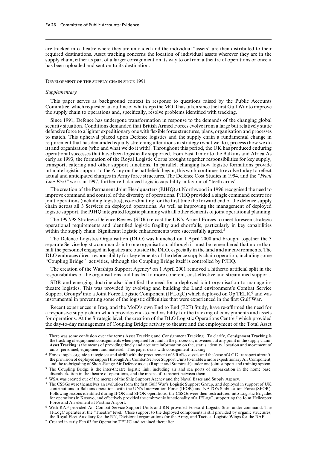are tracked into theatre where they are unloaded and the individual "assets" are then distributed to their required destinations. Asset tracking concerns the location of individual assets wherever they are in the supply chain, either as part of a larger consignment on its way to or from a theatre of operations or once it has been uploaded and sent on to its destination.

### Development of the supply chain since 1991

## *Supplementary*

This paper serves as background context in response to questions raised by the Public Accounts Committee, which requested an outline of what steps the MOD has taken since the first Gulf War to improve the supply chain to operations and, specifically, resolve problems identified with tracking.1

Since 1991, Defence has undergone transformation in response to the demands of the changing global security situation. Conditions demanded that British Armed Forces evolve from a large but relatively static defensive force to a lighter expeditionary one with flexible force structures, plans, organisation and processes to match. This upheaval placed upon Defence logistics and the supply chain a fundamental change in requirement that has demanded equally stretching alterations in strategy (what we do), process (how we do it) and organisation (who and what we do it with). Throughout this period, the UK has produced enduring operational successes that have been logistically supported, from East Timor to the Balkans and Africa.As early as 1993, the formation of the Royal Logistic Corps brought together responsibilities for key supply, transport, catering and other support functions. In parallel, changing how logistic formations provide intimate logistic support to the Army on the battlefield began; this work continues to evolve today to reflect actual and anticipated changes in Army force structures. The Defence Cost Studies in 1994, and the *"Front Line First"* work in 1997, further re-balanced logistic capability in favour of "teeth arms".

The creation of the Permanent Joint Headquarters (PJHQ) at Northwood in 1996 recognised the need to improve command and control of the diversity of operations. PJHQ provided a single command centre for joint operations (including logistics), co-ordinating for the first time the forward end of the defence supply chain across all 3 Services on deployed operations. As well as improving the management of deployed logistic support, the PJHQ integrated logistic planning with all other elements of joint operational planning.

The 1997/98 Strategic Defence Review (SDR) re-cast the UK's Armed Forces to meet foreseen strategic operational requirements and identified logistic fragility and shortfalls, particularly in key capabilities within the supply chain. Significant logistic enhancements were successfully agreed.<sup>2</sup>

The Defence Logistics Organisation (DLO) was launched on 1 April 2000 and brought together the 3 separate Service logistic commands into one organisation, although it must be remembered that more than half the personnel engaged in logistics are outside the DLO, especially in the land and air environments. The DLO embraces direct responsibility for key elements of the defence supply chain operation, including some "Coupling Bridge"3 activities, although the Coupling Bridge itself is controlled by PJHQ.

The creation of the Warships Support Agency<sup>4</sup> on 1 April 2001 removed a hitherto artificial split in the responsibilities of the organisations and has led to more coherent, cost-effective and streamlined support.

SDR and emerging doctrine also identified the need for a deployed joint organisation to manage intheatre logistics. This was provided by evolving and building the Land environment's Combat Service Support Groups<sup>5</sup> into a Joint Force Logistic Component (JFLogC) which deployed on Op TELIC<sup>6</sup> and was instrumental in preventing some of the logistic difficulties that were experienced in the first Gulf War.

Recent experiences in Iraq, and the MoD's own End to End (E2E) Study, have re-affirmed the need for a responsive supply chain which provides end-to-end visibility for the tracking of consignments and assets for operations. At the Strategic level, the creation of the DLO Logistic Operations Centre,<sup>7</sup> which provided the day-to-day management of Coupling Bridge activity to theatre and the employment of the Total Asset

<sup>1</sup> There was some confusion over the terms Asset Tracking and Consignment Tracking. To clarify, **Consignment Tracking** is the tracking of equipment consignments when prepared for, and in the process of, movement at any point in the supply chain. **Asset Tracking** is the means of providing timely and accurate information on the, status, identity, location and movement of units, personnel, equipment and materiel. This paper deals with consignment tracking.

<sup>&</sup>lt;sup>2</sup> For example, organic strategic sea and airlift with the procurement of 6 RoRo vessels and the lease of 4 C17 transport aircraft, the provision of deployed support through Air Combat Service Support Units to enable a more expeditionary Air Component, and the re-brigading of Short-Range Air Defence assets (Rapier and Starstreak) under one joint support and training system.

<sup>&</sup>lt;sup>3</sup> The Coupling Bridge is the inter-theatre logistic link, including air and sea ports of embarkation in the home base, disembarkation in the theatre of operations, and the means of transport between them.

<sup>4</sup> WSA was created out of the merger of the Ship Support Agency and the Naval Bases and Supply Agency.

<sup>&</sup>lt;sup>5</sup> The CSSGs were themselves an evolution from the first Gulf War's Logistic Support Group, and deployed in support of UK contributions to Balkans operations with the UN's Intervention Force (IFOR) and NATO's Stabilisation Force (SFOR). Following lessons identified during IFOR and SFOR operations, the CSSGs were then restructured into Logistic Brigades for operations in Kosovo, and effectively provided the embryonic functionality of a JFLogC, supporting the Joint Helicopter Force and Air element at Pristina Airport.

<sup>6</sup> With RAF-provided Air Combat Service Support Units and RN-provided Forward Logistic Sites under command. The JFLogC operates at the "Theatre" level. Close support to the deployed components is still provided by organic structures; the Royal Fleet Auxiliary for the RN, Divisional organisations for the Army, and Tactical Logistic Wings for the RAF.

<sup>7</sup> Created in early Feb 03 for Operation TELIC and retained thereafter.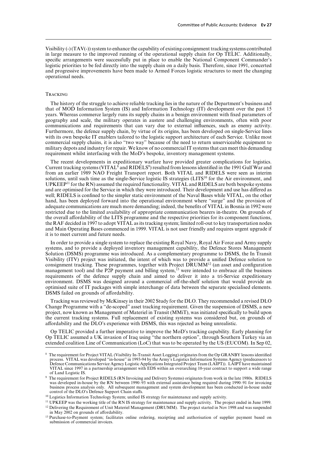Visibility (-) (TAV(-)) system to enhance the capability of existing consignment tracking systems contributed in large measure to the improved running of the operational supply chain for Op TELIC. Additionally, specific arrangements were successfully put in place to enable the National Component Commander's logistic priorities to be fed directly into the supply chain on a daily basis. Therefore, since 1991, concerted and progressive improvements have been made to Armed Forces logistic structures to meet the changing operational needs.

# **TRACKING**

The history of the struggle to achieve reliable tracking lies in the nature of the Department's business and that of MOD Information System (IS) and Information Technology (IT) development over the past 15 years. Whereas commerce largely runs its supply chains in a benign environment with fixed parameters of geography and scale, the military operates in austere and challenging environments, often with poor communications and requirements that can vary due to external influences, such as enemy activity. Furthermore, the defence supply chain, by virtue of its origins, has been developed on single-Service lines with its own bespoke IT enablers tailored to the logistic support architecture of each Service. Unlike most commercial supply chains, it is also "two way" because of the need to return unserviceable equipment to military depots and industry for repair. We know of no commercial IT systems that can meet this demanding requirement whilst interfacing with the MoD's bespoke, inventory management systems.

The recent developments in expeditionary warfare have provided greater complications for logistics. Current tracking systems (VITAL $\delta$  and RIDELS<sup>9</sup>) resulted from lessons identified in the 1991 Gulf War and from an earlier 1989 NAO Freight Transport report. Both VITAL and RIDELS were seen as interim solutions, until such time as the single-Service logistic IS strategies (LITS<sup>10</sup> for the Air environment, and UPKEEP11 for the RN) assumed the required functionality. VITAL and RIDELS are both bespoke systems and are optimised for the Service in which they were introduced. Their development and use has differed as well; RIDELS is confined to the simpler static environment of the Naval Bases while VITAL, on the other hand, has been deployed forward into the operational environment where "surge" and the provision of adequate communications are much more demanding; indeed, the benefits of VITAL in Bosnia in 1992 were restricted due to the limited availability of appropriate communication bearers in-theatre. On grounds of the overall affordability of the LITS programme and the respective priorities for its component functions, the RAF decided in 1997 to adopt VITAL as its tracking system; limited roll-out to key transportation nodes and Main Operating Bases commenced in 1999. VITAL is not user friendly and requires urgent upgrade if it is to meet current and future needs.

In order to provide a single system to replace the existing Royal Navy, Royal Air Force and Army supply systems, and to provide a deployed inventory management capability, the Defence Stores Management Solution (DSMS) programme was introduced. As a complementary programme to DSMS, the In Transit Visibility (ITV) project was initiated, the intent of which was to provide a unified Defence solution to consignment tracking. These programmes, together with Project DRUMM12 (an asset and configuration management tool) and the P2P payment and billing system,<sup>13</sup> were intended to embrace all the business requirements of the defence supply chain and aimed to deliver it into a tri-Service expeditionary environment. DSMS was designed around a commercial off-the-shelf solution that would provide an optimised suite of IT packages with simple interchange of data between the separate specialised elements. DSMS failed on grounds of affordability.

Tracking was reviewed by McKinsey in their 2002 Study for the DLO. They recommended a revised DLO Change Programme with a "de-scoped" asset tracking requirement. Given the suspension of DSMS, a new project, now known as Management of Materiel in Transit (MMiT), was initiated specifically to build upon the current tracking systems. Full replacement of existing systems was considered but, on grounds of affordability and the DLO's experience with DSMS, this was rejected as being unrealistic.

Op TELIC provided a further imperative to improve the MoD's tracking capability. Early planning for Op TELIC assumed a UK invasion of Iraq using "the northern option", through Southern Turkey via an extended coalition Line of Communication (LoC) that was to be operated by the US (EUCOM). In Sep 02,

<sup>8</sup> The requirement for Project VITAL (Visibility In-Transit Asset Logging) originates from the Op GRANBY lessons identified process. VITAL was developed "in-house" in 1993-94 by the Army's Logistics Information Systems Agency (predecessors to Defence Communications Service Agency Logistic Applications Integrated Project Team (LAIPT)). LAIPT have maintained VITAL since 1997 in a partnership arrangement with EDS within an overarching 10-year contract to support a wide range of Land Logistic IS.

<sup>&</sup>lt;sup>9</sup> The requirement for Project RIDELS (RN Invoicing and Delivery Systems) originates from work in the late 1980s. RIDELS was developed in-house by the RN between 1990–93 with external assistance being required during 1990–91 for invoicing business process analysis only. All subsequent management and system development has been conducted in-house under control of the DLO's Defence Support Chain staffs.

<sup>&</sup>lt;sup>10</sup> Logistics Information Technology System; unified IS strategy for maintenance and supply activity.

<sup>11</sup> UPKEEP was the working title of the RN IS strategy for maintenance and supply activity. The project ended in June 1999.

<sup>&</sup>lt;sup>12</sup> Delivering the Requirement of Unit Materiel Management (DRUMM). The project started in Nov 1998 and was suspended in May 2002 on grounds of affordability.

<sup>&</sup>lt;sup>13</sup> Purchase-to-Payment system; facilitates online ordering, receipting and authorisation of supplier payment based on submission of commercial invoices.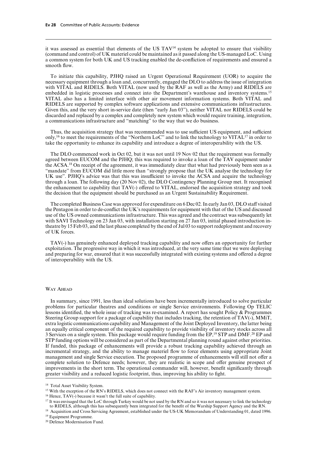it was assessed as essential that elements of the US TAV14 system be adopted to ensure that visibility (command and control) of UK materiel could be maintained as it passed along the US-managed LoC. Using a common system for both UK and US tracking enabled the de-confliction of requirements and ensured a smooth flow.

To initiate this capability, PJHQ raised an Urgent Operational Requirement (UOR) to acquire the necessary equipment through a loan and, concurrently, engaged the DLO to address the issue of integration with VITAL and RIDELS. Both VITAL (now used by the RAF as well as the Army) and RIDELS are embedded in logistic processes and connect into the Department's warehouse and inventory systems.<sup>15</sup> VITAL also has a limited interface with other air movement information systems. Both VITAL and RIDELS are supported by complex software applications and extensive communications infrastructures. Given this, and the very short in-service date (then "early Jan 03"), neither VITAL nor RIDELS could be discarded and replaced by a complex and completely new system which would require training, integration, a communications infrastructure and "matching" to the way that we do business.

Thus, the acquisition strategy that was recommended was to use sufficient US equipment, and sufficient only,16 to meet the requirements of the "Northern LoC" and to link the technology to VITAL17 in order to take the opportunity to enhance its capability and introduce a degree of interoperability with the US.

The DLO commenced work in Oct 02, but it was not until 19 Nov 02 that the requirement was formally agreed between EUCOM and the PJHQ; this was required to invoke a loan of the TAV equipment under the ACSA.18 On receipt of the agreement, it was immediately clear that what had previously been seen as a "mandate" from EUCOM did little more than "strongly propose that the UK analyse the technology for UK use". PJHQ's advice was that this was insufficient to invoke the ACSA and acquire the technology through a loan. The following day (20 Nov 02), the DLO Contingency Planning Group met. It recognised the enhancement to capability that TAV(-) offered to VITAL, endorsed the acquisition strategy and took the decision that the equipment should be purchased as an Urgent Sustainability Requirement.

The completed Business Case was approved for expenditure on 6 Dec 02. In early Jan 03, DLO staff visited the Pentagon in order to de-conflict the UK's requirements for equipment with that of the US and discussed use of the US owned communications infrastructure. This was agreed and the contract was subsequently let with SAVI Technology on 23 Jan 03, with installation starting on 27 Jan 03, initial phased introduction intheatre by 15 Feb 03, and the last phase completed by the end of Jul 03 to support redeployment and recovery of UK forces.

TAV(-) has genuinely enhanced deployed tracking capability and now offers an opportunity for further exploitation. The progressive way in which it was introduced, at the very same time that we were deploying and preparing for war, ensured that it was successfully integrated with existing systems and offered a degree of interoperability with the US.

# WAY AHEAD

In summary, since 1991, less than ideal solutions have been incrementally introduced to solve particular problems for particular theatres and conditions or single Service environments. Following Op TELIC lessons identified, the whole issue of tracking was re-examined. A report has sought Policy & Programmes Steering Group support for a package of capability that includes tracking, the retention of TAV(-), MMiT, extra logistic communications capability and Management of the Joint Deployed Inventory, the latter being an equally critical component of the required capability to provide visibility of inventory stocks across all 3 Services on a single system. This package would require funding from the EP,19 STP and DMF.20 EP and STP funding options will be considered as part of the Departmental planning round against other priorities. If funded, this package of enhancements will provide a robust tracking capability achieved through an incremental strategy, and the ability to manage materiel flow to force elements using appropriate Joint management and single Service execution. The proposed programme of enhancements will still not offer a complete solution to Defence needs; however, they are realistic in scope and offer genuine prospect of improvements in the short term. The operational commander will, however, benefit significantly through greater visibility and a reduced logistic footprint, thus, improving his ability to fight.

<sup>&</sup>lt;sup>14</sup> Total Asset Visibility System.

<sup>&</sup>lt;sup>15</sup> With the exception of the RN's RIDELS, which does not connect with the RAF's Air inventory management system.

<sup>&</sup>lt;sup>16</sup> Hence, TAV(-) because it wasn't the full suite of capability.

<sup>&</sup>lt;sup>17</sup> It was envisaged that the LoC through Turkey would be not used by the RN and so it was not necessary to link the technology to RIDELS, although this has subsequently been integrated for the benefit of the Warship Support Agency and the RN.

<sup>&</sup>lt;sup>18</sup> Acquisition and Cross Servicing Agreement, established under the US-UK Memorandum of Understanding 01, dated 1996. <sup>19</sup> Equipment Programme.

<sup>20</sup> Defence Modernisation Fund.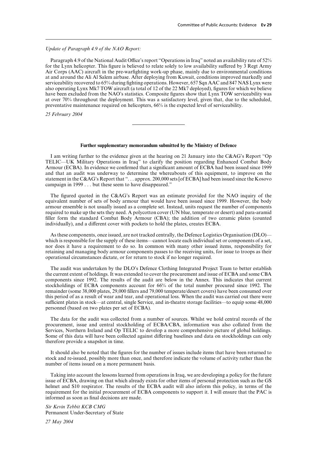# *Update of Paragraph 4.9 of the NAO Report:*

Paragraph 4.9 of the National Audit Office's report "Operations in Iraq" noted an availability rate of 52% for the Lynx helicopter. This figure is believed to relate solely to low availability suffered by 3 Regt Army Air Corps (AAC) aircraft in the pre-warfighting work-up phase, mainly due to environmental conditions at and around the Ali Al Salem airbase. After deploying from Kuwait, conditions improved markedly and serviceability recovered to 65% during fighting operations. However, 657 Sqn AAC and 847 NAS Lynx were also operating Lynx Mk7 TOW aircraft (a total of 12 of the 22 Mk7 deployed), figures for which we believe have been excluded from the NAO's statistics. Composite figures show that Lynx TOW serviceability was at over 70% throughout the deployment. This was a satisfactory level, given that, due to the scheduled, preventative maintenance required on helicopters, 66% is the expected level of serviceability.

*25 February 2004*

# **Further supplementary memorandum submitted by the Ministry of Defence**

I am writing further to the evidence given at the hearing on 21 January into the C&AG's Report "Op TELIC—UK Military Operations in Iraq" to clarify the position regarding Enhanced Combat Body Armour (ECBA). In evidence we confirmed that a significant amount of ECBA had been issued since 1999 and that an audit was underway to determine the whereabouts of this equipment, to improve on the statement in the C&AG's Report that ". . . approx. 200,000 sets [of ECBA] had been issued since the Kosovo campaign in 1999 . . . but these seem to have disappeared."

The figured quoted in the C&AG's Report was an estimate provided for the NAO inquiry of the equivalent number of sets of body armour that would have been issued since 1999. However, the body armour ensemble is not usually issued as a complete set. Instead, units request the number of components required to make up the sets they need. A polycotton cover (UN blue, temperate or desert) and para-aramid filler form the standard Combat Body Armour (CBA); the addition of two ceramic plates (counted individually), and a different cover with pockets to hold the plates, creates ECBA.

As these components, once issued, are not tracked centrally, the Defence Logistics Organisation (DLO) which is responsible for the supply of these items—cannot locate each individual set or components of a set, nor does it have a requirement to do so. In common with many other issued items, responsibility for retaining and managing body armour components passes to the receiving units, for issue to troops as their operational circumstances dictate, or for return to stock if no longer required.

The audit was undertaken by the DLO's Defence Clothing Integrated Project Team to better establish the current extent of holdings. It was extended to cover the procurement and issue of ECBA and some CBA components since 1992. The results of the audit are below in the Annex. This indicates that current stockholdings of ECBA components account for 66% of the total number procured since 1992. The remainder (some 38,000 plates, 29,000 fillers and 79,000 temperate/desert covers) have been consumed over this period of as a result of wear and tear, and operational loss. When the audit was carried out there were sufficient plates in stock—at central, single Service, and in-theatre storage facilities—to equip some 48,000 personnel (based on two plates per set of ECBA).

The data for the audit was collected from a number of sources. Whilst we hold central records of the procurement, issue and central stockholding of ECBA/CBA, information was also collated from the Services, Northern Ireland and Op TELIC to develop a more comprehensive picture of global holdings. Some of this data will have been collected against differing baselines and data on stockholdings can only therefore provide a snapshot in time.

It should also be noted that the figures for the number of issues include items that have been returned to stock and re-issued, possibly more than once, and therefore indicate the volume of activity rather than the number of items issued on a more permanent basis.

Taking into account the lessons learned from operations in Iraq, we are developing a policy for the future issue of ECBA, drawing on that which already exists for other items of personal protection such as the GS helmet and S10 respirator. The results of the ECBA audit will also inform this policy, in terms of the requirement for the initial procurement of ECBA components to support it. I will ensure that the PAC is informed as soon as final decisions are made.

*Sir Kevin Tebbit KCB CMG* Permanent Under-Secretary of State

*27 May 2004*